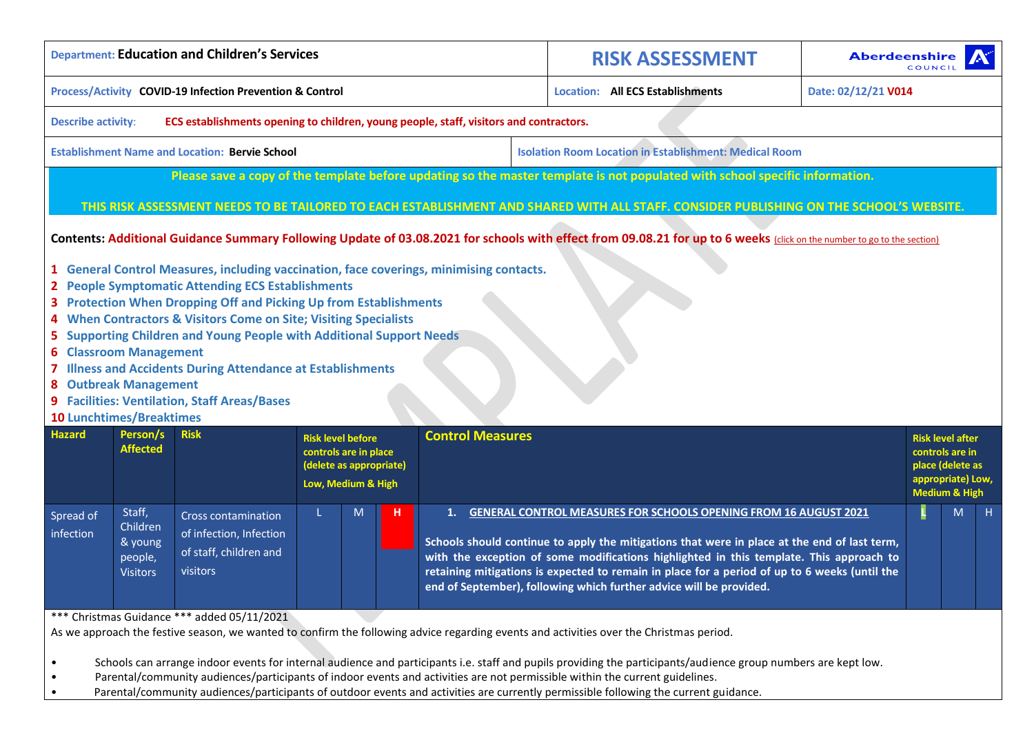|                                                                            |                                                                                            | <b>Department: Education and Children's Services</b>                                                                                                                                                                                                                                                                                                                                                                                                                                                                                                                                                                                                                                                                                                                                                                                                                                                                                    |                                                                                                    |   |   |                                                                                                                                                                                                                                                                                                                                                                                                  |                                                                         | <b>RISK ASSESSMENT</b> | <b>Aberdeenshire</b> |                                                                                                                      |    |
|----------------------------------------------------------------------------|--------------------------------------------------------------------------------------------|-----------------------------------------------------------------------------------------------------------------------------------------------------------------------------------------------------------------------------------------------------------------------------------------------------------------------------------------------------------------------------------------------------------------------------------------------------------------------------------------------------------------------------------------------------------------------------------------------------------------------------------------------------------------------------------------------------------------------------------------------------------------------------------------------------------------------------------------------------------------------------------------------------------------------------------------|----------------------------------------------------------------------------------------------------|---|---|--------------------------------------------------------------------------------------------------------------------------------------------------------------------------------------------------------------------------------------------------------------------------------------------------------------------------------------------------------------------------------------------------|-------------------------------------------------------------------------|------------------------|----------------------|----------------------------------------------------------------------------------------------------------------------|----|
|                                                                            |                                                                                            | Process/Activity COVID-19 Infection Prevention & Control                                                                                                                                                                                                                                                                                                                                                                                                                                                                                                                                                                                                                                                                                                                                                                                                                                                                                |                                                                                                    |   |   |                                                                                                                                                                                                                                                                                                                                                                                                  | <b>Location: All ECS Establishments</b>                                 |                        | Date: 02/12/21 V014  |                                                                                                                      |    |
| <b>Describe activity:</b>                                                  |                                                                                            | ECS establishments opening to children, young people, staff, visitors and contractors.                                                                                                                                                                                                                                                                                                                                                                                                                                                                                                                                                                                                                                                                                                                                                                                                                                                  |                                                                                                    |   |   |                                                                                                                                                                                                                                                                                                                                                                                                  |                                                                         |                        |                      |                                                                                                                      |    |
|                                                                            |                                                                                            | <b>Establishment Name and Location: Bervie School</b>                                                                                                                                                                                                                                                                                                                                                                                                                                                                                                                                                                                                                                                                                                                                                                                                                                                                                   |                                                                                                    |   |   |                                                                                                                                                                                                                                                                                                                                                                                                  | <b>Isolation Room Location in Establishment: Medical Room</b>           |                        |                      |                                                                                                                      |    |
| <b>6 Classroom Management</b><br>8 Outbreak Management                     |                                                                                            | Please save a copy of the template before updating so the master template is not populated with school specific information.<br>THIS RISK ASSESSMENT NEEDS TO BE TAILORED TO EACH ESTABLISHMENT AND SHARED WITH ALL STAFF. CONSIDER PUBLISHING ON THE SCHOOL'S WEBSITE.<br>Contents: Additional Guidance Summary Following Update of 03.08.2021 for schools with effect from 09.08.21 for up to 6 weeks (click on the number to go to the section)<br>1 General Control Measures, including vaccination, face coverings, minimising contacts.<br>2 People Symptomatic Attending ECS Establishments<br>3 Protection When Dropping Off and Picking Up from Establishments<br>4 When Contractors & Visitors Come on Site; Visiting Specialists<br><b>Supporting Children and Young People with Additional Support Needs</b><br>7 Illness and Accidents During Attendance at Establishments<br>9 Facilities: Ventilation, Staff Areas/Bases |                                                                                                    |   |   |                                                                                                                                                                                                                                                                                                                                                                                                  |                                                                         |                        |                      |                                                                                                                      |    |
| <b>10 Lunchtimes/Breaktimes</b><br><b>Hazard</b><br>Spread of<br>infection | Person/s<br><b>Affected</b><br>Staff,<br>Children<br>& young<br>people,<br><b>Visitors</b> | <b>Risk</b><br><b>Cross contamination</b><br>of infection, Infection<br>of staff, children and<br>visitors                                                                                                                                                                                                                                                                                                                                                                                                                                                                                                                                                                                                                                                                                                                                                                                                                              | <b>Risk level before</b><br>controls are in place<br>(delete as appropriate)<br>Low, Medium & High | M | н | <b>Control Measures</b><br>1.<br>Schools should continue to apply the mitigations that were in place at the end of last term,<br>with the exception of some modifications highlighted in this template. This approach to<br>retaining mitigations is expected to remain in place for a period of up to 6 weeks (until the<br>end of September), following which further advice will be provided. | <b>GENERAL CONTROL MEASURES FOR SCHOOLS OPENING FROM 16 AUGUST 2021</b> |                        |                      | <b>Risk level after</b><br>controls are in<br>place (delete as<br>appropriate) Low,<br><b>Medium &amp; High</b><br>M | H. |
|                                                                            |                                                                                            | *** Christmas Guidance *** added 05/11/2021<br>As we approach the festive season, we wanted to confirm the following advice regarding events and activities over the Christmas period.                                                                                                                                                                                                                                                                                                                                                                                                                                                                                                                                                                                                                                                                                                                                                  |                                                                                                    |   |   |                                                                                                                                                                                                                                                                                                                                                                                                  |                                                                         |                        |                      |                                                                                                                      |    |

• Schools can arrange indoor events for internal audience and participants i.e. staff and pupils providing the participants/audience group numbers are kept low.

• Parental/community audiences/participants of indoor events and activities are not permissible within the current guidelines.

• Parental/community audiences/participants of outdoor events and activities are currently permissible following the current guidance.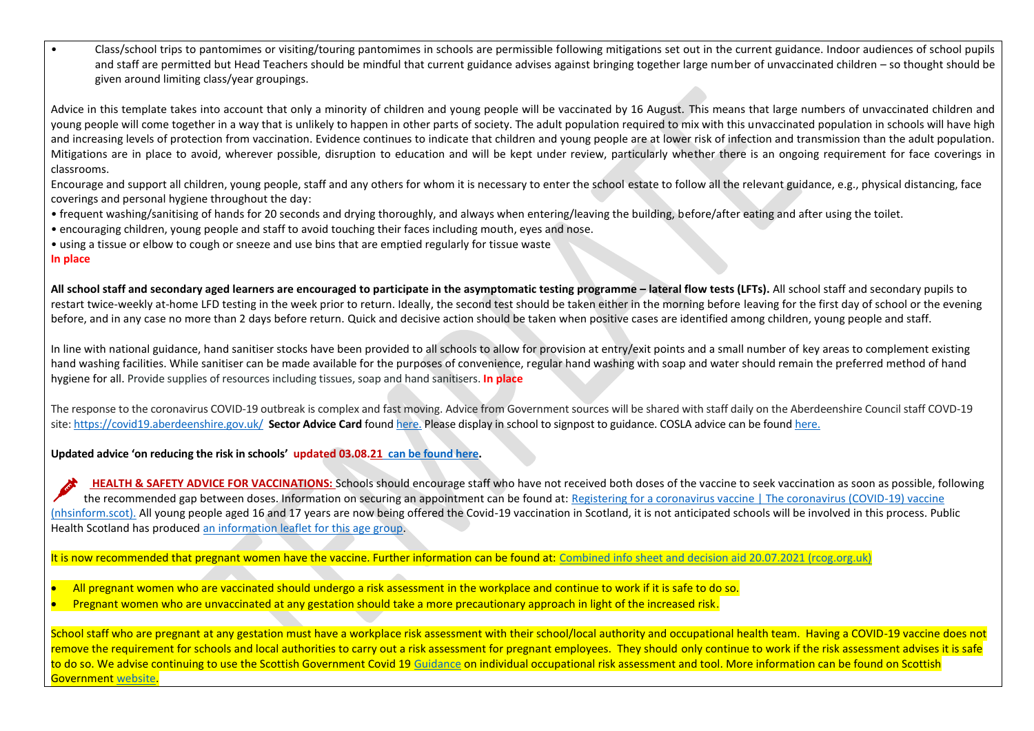• Class/school trips to pantomimes or visiting/touring pantomimes in schools are permissible following mitigations set out in the current guidance. Indoor audiences of school pupils and staff are permitted but Head Teachers should be mindful that current guidance advises against bringing together large number of unvaccinated children – so thought should be given around limiting class/year groupings.

Advice in this template takes into account that only a minority of children and young people will be vaccinated by 16 August. This means that large numbers of unvaccinated children and young people will come together in a way that is unlikely to happen in other parts of society. The adult population required to mix with this unvaccinated population in schools will have high and increasing levels of protection from vaccination. Evidence continues to indicate that children and young people are at lower risk of infection and transmission than the adult population. Mitigations are in place to avoid, wherever possible, disruption to education and will be kept under review, particularly whether there is an ongoing requirement for face coverings in classrooms.

Encourage and support all children, young people, staff and any others for whom it is necessary to enter the school estate to follow all the relevant guidance, e.g., physical distancing, face coverings and personal hygiene throughout the day:

- frequent washing/sanitising of hands for 20 seconds and drying thoroughly, and always when entering/leaving the building, before/after eating and after using the toilet.
- encouraging children, young people and staff to avoid touching their faces including mouth, eyes and nose.
- using a tissue or elbow to cough or sneeze and use bins that are emptied regularly for tissue waste

# **In place**

All school staff and secondary aged learners are encouraged to participate in the asymptomatic testing programme – lateral flow tests (LFTs). All school staff and secondary pupils to restart twice-weekly at-home LFD testing in the week prior to return. Ideally, the second test should be taken either in the morning before leaving for the first day of school or the evening before, and in any case no more than 2 days before return. Quick and decisive action should be taken when positive cases are identified among children, young people and staff.

In line with national guidance, hand sanitiser stocks have been provided to all schools to allow for provision at entry/exit points and a small number of key areas to complement existing hand washing facilities. While sanitiser can be made available for the purposes of convenience, regular hand washing with soap and water should remain the preferred method of hand hygiene for all. Provide supplies of resources including tissues, soap and hand sanitisers. **In place**

The response to the coronavirus COVID-19 outbreak is complex and fast moving. Advice from Government sources will be shared with staff daily on the Aberdeenshire Council staff COVD-19 site: <https://covid19.aberdeenshire.gov.uk/>**Sector Advice Card** foun[d here.](https://aberdeenshire.sharepoint.com/sites/covid-19childcarehubstaffinformation/Shared%20Documents/Forms/AllItems.aspx?id=%2Fsites%2Fcovid%2D19childcarehubstaffinformation%2FShared%20Documents%2FSchool%20Recovery%20Documents%2Fcovid%2D19%2Dsector%2Dadvice%2Dcard%2Epdf&parent=%2Fsites%2Fcovid%2D19childcarehubstaffinformation%2FShared%20Documents%2FSchool%20Recovery%20Documents) Please display in school to signpost to guidance. COSLA advice can be foun[d here.](https://www.cosla.gov.uk/covid-19-information-for-councils)

**Updated advice 'on reducing the risk in schools' updated 03.08.21 [can be found here.](https://www.gov.scot/binaries/content/documents/govscot/publications/advice-and-guidance/2020/10/coronavirus-covid-19-guidance-on-reducing-the-risks-in-schools/documents/guidance-on-reducing-the-risks-in-schools-30-october-2020/guidance-on-reducing-the-risks-in-schools-30-october-2020/govscot%3Adocument/Reducing%2BRisks%2Bin%2BSchools%2Bguidance%2B-%2Bversion%2B6.0%2B-%2BAugust%2B2021%2B-%2Bfinal%2Bversion.pdf)**

**HEALTH & SAFETY ADVICE FOR VACCINATIONS:** Schools should encourage staff who have not received both doses of the vaccine to seek vaccination as soon as possible, following the recommended gap between doses. Information on securing an appointment can be found at: Registering for a coronavirus vaccine | The coronavirus (COVID-19) vaccine [\(nhsinform.scot\).](https://www.nhsinform.scot/covid-19-vaccine/invitations-and-appointments/registering-for-a-coronavirus-vaccine) All young people aged 16 and 17 years are now being offered the Covid-19 vaccination in Scotland, it is not anticipated schools will be involved in this process. Public Health Scotland has produced [an information leaflet for this age group.](https://www.publichealthscotland.scot/media/8656/covid-19-leaflet-for-16-to-17-year-olds.pdf)

It is now recommended that pregnant women have the vaccine. Further information can be found at: [Combined info sheet and decision aid 20.07.2021 \(rcog.org.uk\)](https://www.rcog.org.uk/globalassets/documents/guidelines/2021-02-24-combined-info-sheet-and-decision-aid.pdf)

- All pregnant women who are vaccinated should undergo a risk assessment in the workplace and continue to work if it is safe to do so.
- Pregnant women who are unvaccinated at any gestation should take a more precautionary approach in light of the increased risk.

School staff who are pregnant at any gestation must have a workplace risk assessment with their school/local authority and occupational health team. Having a COVID-19 vaccine does not remove the requirement for schools and local authorities to carry out a risk assessment for pregnant employees. They should only continue to work if the risk assessment advises it is safe to do so. We advise continuing to use the Scottish Government Covid 19 [Guidance](https://www.gov.scot/publications/coronavirus-covid-19-guidance-on-individual-risk-assessment-for-the-workplace/) on individual occupational risk assessment and tool. More information can be found on Scottish Government [website.](https://www.gov.scot/publications/coronavirus-covid-19-guidance-on-reducing-the-risks-in-schools/pages/changes-to-previous-guidance/#Guidance%20for%20pregnant%20staff)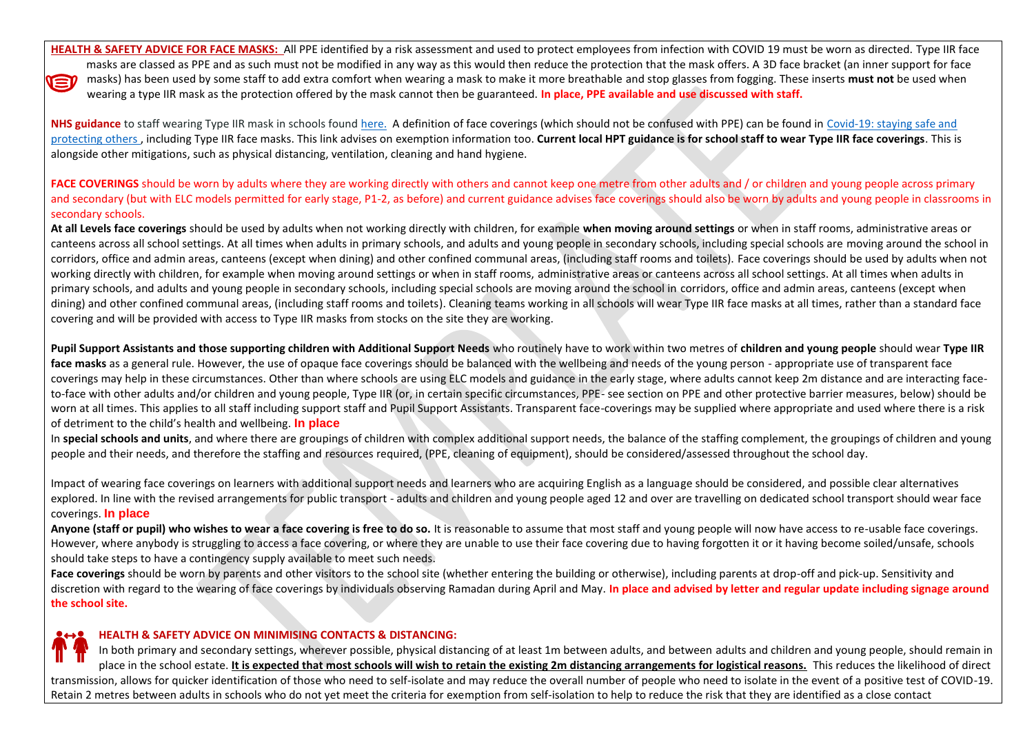**HEALTH & SAFETY ADVICE FOR FACE MASKS:** All PPE identified by a risk assessment and used to protect employees from infection with COVID 19 must be worn as directed. Type IIR face masks are classed as PPE and as such must not be modified in any way as this would then reduce the protection that the mask offers. A 3D face bracket (an inner support for face masks) has been used by some staff to add extra comfort when wearing a mask to make it more breathable and stop glasses from fogging. These inserts **must not** be used when VEI wearing a type IIR mask as the protection offered by the mask cannot then be guaranteed. **In place, PPE available and use discussed with staff.**

**NHS guidance** to staff wearing Type IIR mask in schools found [here.](https://aberdeenshire.sharepoint.com/sites/covid-19childcarehubstaffinformation/Shared%20Documents/Forms/AllItems.aspx?id=%2Fsites%2Fcovid%2D19childcarehubstaffinformation%2FShared%20Documents%2FSchool%20Recovery%20Documents%2FNHS%20Guidance%20Documents%2FFRSM%20Use%20in%20Schools%20Oct%202020%2Epdf&parent=%2Fsites%2Fcovid%2D19childcarehubstaffinformation%2FShared%20Documents%2FSchool%20Recovery%20Documents%2FNHS%20Guidance%20Documents) A definition of face coverings (which should not be confused with PPE) can be found in [Covid-19: staying safe and](https://www.gov.scot/publications/coronavirus-covid-19-phase-3-staying-safe-and-protecting-others/pages/face-coverings/)  [protecting others](https://www.gov.scot/publications/coronavirus-covid-19-phase-3-staying-safe-and-protecting-others/pages/face-coverings/) , including Type IIR face masks. This link advises on exemption information too. **Current local HPT guidance is for school staff to wear Type IIR face coverings**. This is alongside other mitigations, such as physical distancing, ventilation, cleaning and hand hygiene.

FACE COVERINGS should be worn by adults where they are working directly with others and cannot keep one metre from other adults and / or children and young people across primary and secondary (but with ELC models permitted for early stage, P1-2, as before) and current guidance advises face coverings should also be worn by adults and young people in classrooms in secondary schools.

**At all Levels face coverings** should be used by adults when not working directly with children, for example **when moving around settings** or when in staff rooms, administrative areas or canteens across all school settings. At all times when adults in primary schools, and adults and young people in secondary schools, including special schools are moving around the school in corridors, office and admin areas, canteens (except when dining) and other confined communal areas, (including staff rooms and toilets). Face coverings should be used by adults when not working directly with children, for example when moving around settings or when in staff rooms, administrative areas or canteens across all school settings. At all times when adults in primary schools, and adults and young people in secondary schools, including special schools are moving around the school in corridors, office and admin areas, canteens (except when dining) and other confined communal areas, (including staff rooms and toilets). Cleaning teams working in all schools will wear Type IIR face masks at all times, rather than a standard face covering and will be provided with access to Type IIR masks from stocks on the site they are working.

**Pupil Support Assistants and those supporting children with Additional Support Needs** who routinely have to work within two metres of **children and young people** should wear **Type IIR face masks** as a general rule. However, the use of opaque face coverings should be balanced with the wellbeing and needs of the young person - appropriate use of transparent face coverings may help in these circumstances. Other than where schools are using ELC models and guidance in the early stage, where adults cannot keep 2m distance and are interacting faceto-face with other adults and/or children and young people, Type IIR (or, in certain specific circumstances, PPE- see section on PPE and other protective barrier measures, below) should be worn at all times. This applies to all staff including support staff and Pupil Support Assistants. Transparent face-coverings may be supplied where appropriate and used where there is a risk of detriment to the child's health and wellbeing. **In place**

In **special schools and units**, and where there are groupings of children with complex additional support needs, the balance of the staffing complement, the groupings of children and young people and their needs, and therefore the staffing and resources required, (PPE, cleaning of equipment), should be considered/assessed throughout the school day.

Impact of wearing face coverings on learners with additional support needs and learners who are acquiring English as a language should be considered, and possible clear alternatives explored. In line with the revised arrangements for public transport - adults and children and young people aged 12 and over are travelling on dedicated school transport should wear face coverings. **In place**

Anyone (staff or pupil) who wishes to wear a face covering is free to do so. It is reasonable to assume that most staff and young people will now have access to re-usable face coverings. However, where anybody is struggling to access a face covering, or where they are unable to use their face covering due to having forgotten it or it having become soiled/unsafe, schools should take steps to have a contingency supply available to meet such needs.

Face coverings should be worn by parents and other visitors to the school site (whether entering the building or otherwise), including parents at drop-off and pick-up. Sensitivity and discretion with regard to the wearing of face coverings by individuals observing Ramadan during April and May. In place and advised by letter and regular update including signage around **the school site.**

## **HEALTH & SAFETY ADVICE ON MINIMISING CONTACTS & DISTANCING:**

In both primary and secondary settings, wherever possible, physical distancing of at least 1m between adults, and between adults and children and young people, should remain in place in the school estate. **It is expected that most schools will wish to retain the existing 2m distancing arrangements for logistical reasons.** This reduces the likelihood of direct transmission, allows for quicker identification of those who need to self-isolate and may reduce the overall number of people who need to isolate in the event of a positive test of COVID-19. Retain 2 metres between adults in schools who do not yet meet the criteria for exemption from self-isolation to help to reduce the risk that they are identified as a close contact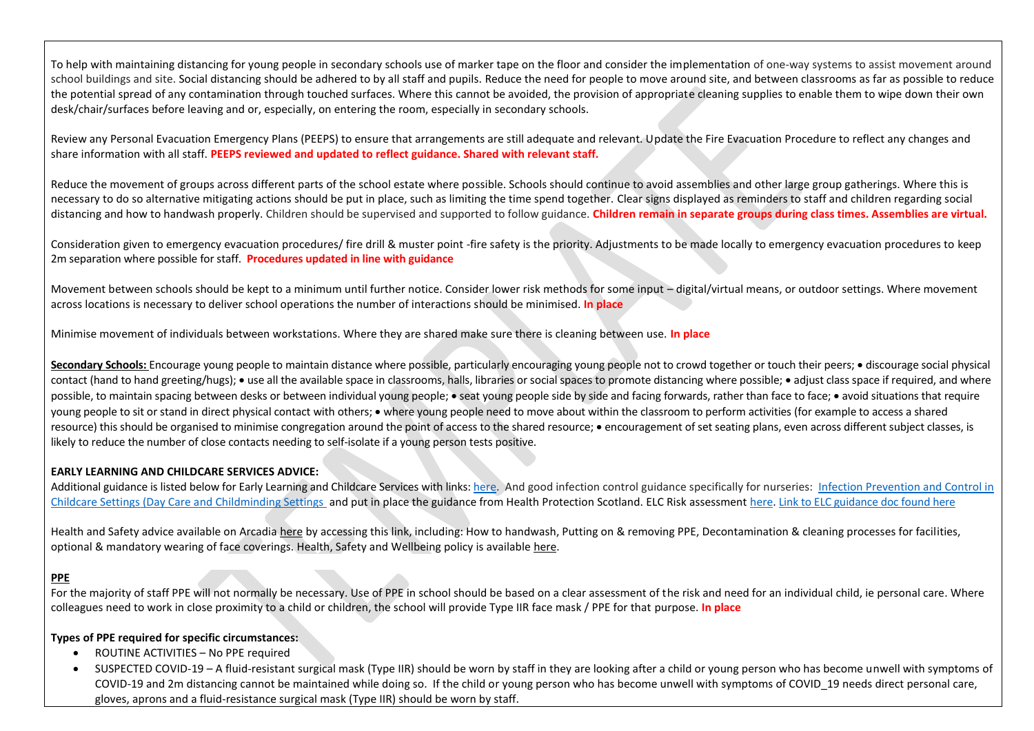To help with maintaining distancing for young people in secondary schools use of marker tape on the floor and consider the implementation of one-way systems to assist movement around school buildings and site. Social distancing should be adhered to by all staff and pupils. Reduce the need for people to move around site, and between classrooms as far as possible to reduce the potential spread of any contamination through touched surfaces. Where this cannot be avoided, the provision of appropriate cleaning supplies to enable them to wipe down their own desk/chair/surfaces before leaving and or, especially, on entering the room, especially in secondary schools.

Review any Personal Evacuation Emergency Plans (PEEPS) to ensure that arrangements are still adequate and relevant. Update the Fire Evacuation Procedure to reflect any changes and share information with all staff. **PEEPS reviewed and updated to reflect guidance. Shared with relevant staff.**

Reduce the movement of groups across different parts of the school estate where possible. Schools should continue to avoid assemblies and other large group gatherings. Where this is necessary to do so alternative mitigating actions should be put in place, such as limiting the time spend together. Clear signs displayed as reminders to staff and children regarding social distancing and how to handwash properly. Children should be supervised and supported to follow guidance. Children remain in separate groups during class times. Assemblies are virtual.

Consideration given to emergency evacuation procedures/ fire drill & muster point -fire safety is the priority. Adjustments to be made locally to emergency evacuation procedures to keep 2m separation where possible for staff. **Procedures updated in line with guidance**

Movement between schools should be kept to a minimum until further notice. Consider lower risk methods for some input – digital/virtual means, or outdoor settings. Where movement across locations is necessary to deliver school operations the number of interactions should be minimised. **In place**

Minimise movement of individuals between workstations. Where they are shared make sure there is cleaning between use. **In place**

Secondary Schools: Encourage young people to maintain distance where possible, particularly encouraging young people not to crowd together or touch their peers; • discourage social physical contact (hand to hand greeting/hugs); • use all the available space in classrooms, halls, libraries or social spaces to promote distancing where possible; • adjust class space if required, and where possible, to maintain spacing between desks or between individual young people; • seat young people side by side and facing forwards, rather than face to face; • avoid situations that require young people to sit or stand in direct physical contact with others; • where young people need to move about within the classroom to perform activities (for example to access a shared resource) this should be organised to minimise congregation around the point of access to the shared resource; • encouragement of set seating plans, even across different subject classes, is likely to reduce the number of close contacts needing to self-isolate if a young person tests positive.

## **EARLY LEARNING AND CHILDCARE SERVICES ADVICE:**

Additional guidance is listed below for Early Learning and Childcare Services with links[: here.](http://www.gov.scot/publications/coronavirus-covid-19-guidance-on-reopening-early-learning-and-childcare-services/) And good infection control guidance specifically for nurseries: Infection Prevention and Control in [Childcare Settings \(Day Care and Childminding Settings](https://hpspubsrepo.blob.core.windows.net/hps-website/nss/2448/documents/1_infection-prevention-control-childcare-2018-05.pdf) and put in place the guidance from Health Protection Scotland. ELC Risk assessmen[t here.](https://aberdeenshire.sharepoint.com/:w:/r/sites/1140SupportMaterials/_layouts/15/Doc.aspx?sourcedoc=%7B0295D0FB-AD0F-420C-95A7-60F4C4EAAB87%7D&file=MASTER%20FINAL%20DRAFT%20%20Risk%20Assessment%20for%20ELCs%20Recovery%20Aug%2020.docx&action=default&mobileredirect=true&cid=a8337f1d-9098-4468-818b-0badbffc38f1) [Link to ELC guidance doc found here](https://www.gov.scot/publications/coronavirus-covid-19-early-learning-and-childcare-services/pages/overview/)

Health and Safety advice available on Arcadia [here](https://aberdeenshire.sharepoint.com/sites/Arcadia/services/Pages/Business%20Services/HR%20and%20OD/Health%20and%20Safety,%20Wellbeing%20and%20Risk%20Management/Health-and-Safety,-Wellbeing-and-Risk-Management.aspx) by accessing this link, including: How to handwash, Putting on & removing PPE, Decontamination & cleaning processes for facilities, optional & mandatory wearing of face coverings. Health, Safety and Wellbeing policy is availabl[e here.](https://aberdeenshire.sharepoint.com/sites/Arcadia/services/Documents/Business%20Services/HR+OD/Health%20and%20Safety/Aberdeenshire%20Council%20Corporate%20H+S%20Policy/Aberdeenshire%20Council%20-%20General%20HS%20Policy%20Statement.pdf)

# **PPE**

For the majority of staff PPE will not normally be necessary. Use of PPE in school should be based on a clear assessment of the risk and need for an individual child, ie personal care. Where colleagues need to work in close proximity to a child or children, the school will provide Type IIR face mask / PPE for that purpose. **In place**

## **Types of PPE required for specific circumstances:**

- ROUTINE ACTIVITIES No PPE required
- SUSPECTED COVID-19 A fluid-resistant surgical mask (Type IIR) should be worn by staff in they are looking after a child or young person who has become unwell with symptoms of COVID-19 and 2m distancing cannot be maintained while doing so. If the child or young person who has become unwell with symptoms of COVID 19 needs direct personal care, gloves, aprons and a fluid-resistance surgical mask (Type IIR) should be worn by staff.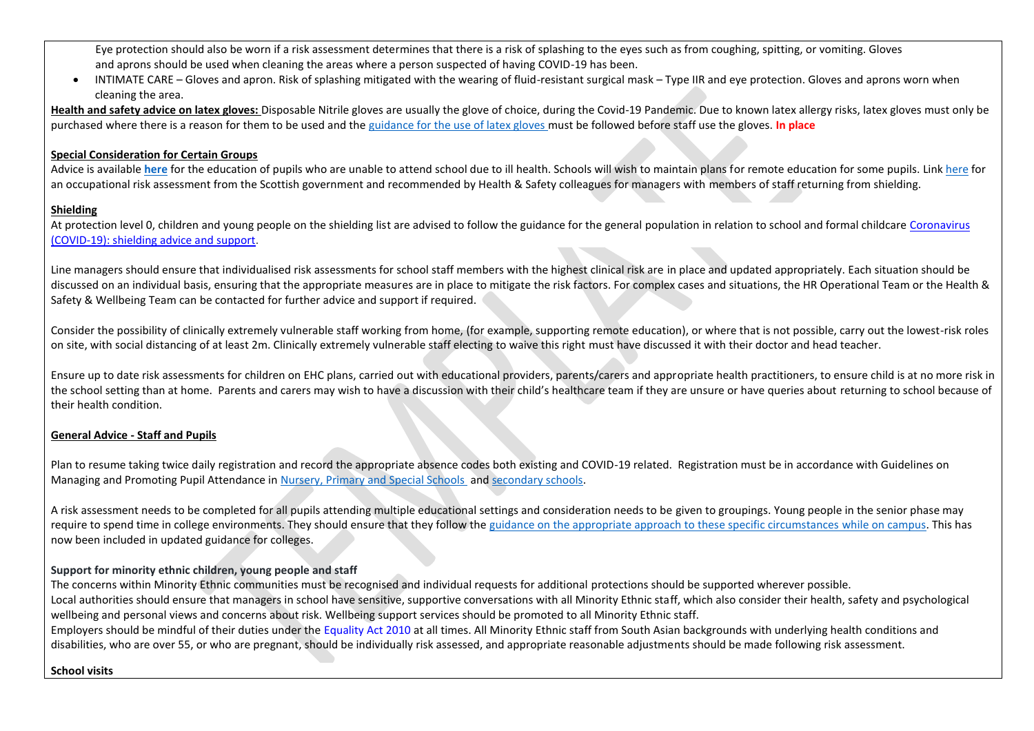Eye protection should also be worn if a risk assessment determines that there is a risk of splashing to the eyes such as from coughing, spitting, or vomiting. Gloves and aprons should be used when cleaning the areas where a person suspected of having COVID-19 has been.

• INTIMATE CARE – Gloves and apron. Risk of splashing mitigated with the wearing of fluid-resistant surgical mask – Type IIR and eye protection. Gloves and aprons worn when cleaning the area.

**Health and safety advice on latex gloves:** Disposable Nitrile gloves are usually the glove of choice, during the Covid-19 Pandemic. Due to known latex allergy risks, latex gloves must only be purchased where there is a reason for them to be used and the [guidance for the use of latex gloves](https://aberdeenshire.sharepoint.com/sites/Arcadia/services/Documents/Business%20Services/HR+OD/Health%20and%20Safety/COVID-19/Guidance%20for%20the%20use%20of%20Latex%20Gloves.pdf) must be followed before staff use the gloves. **In place**

## **Special Consideration for Certain Groups**

Advice is available [here](https://www.gov.scot/publications/guidance-education-children-unable-attend-school-due-ill-health/) for the education of pupils who are unable to attend school due to ill health. Schools will wish to maintain plans for remote education for some pupils. Link [here](https://www.gov.scot/binaries/content/documents/govscot/publications/advice-and-guidance/2020/07/coronavirus-covid-19-guidance-on-individual-risk-assessment-for-the-workplace/documents/risk-assessment-tools-and-guidance/occupational-risk-assessment-tool-and-guidance/occupational-risk-assessment-tool-and-guidance/govscot%3Adocument/Occupational%2BRisk%2BAssessment%2BGuidance%2Band%2BTool%2B%2528Interactive%2529%2B04%2BSeptember.pdf?forceDownload=true) for an occupational risk assessment from the Scottish government and recommended by Health & Safety colleagues for managers with members of staff returning from shielding.

## **Shielding**

At protection level 0, children and young people on the shielding list are advised to follow the guidance for the general population in relation to school and formal childcare Coronavirus [\(COVID-19\): shielding advice and support.](https://www.gov.scot/publications/covid-shielding/pages/levels-advice/)

Line managers should ensure that individualised risk assessments for school staff members with the highest clinical risk are in place and updated appropriately. Each situation should be discussed on an individual basis, ensuring that the appropriate measures are in place to mitigate the risk factors. For complex cases and situations, the HR Operational Team or the Health & Safety & Wellbeing Team can be contacted for further advice and support if required.

Consider the possibility of clinically extremely vulnerable staff working from home, (for example, supporting remote education), or where that is not possible, carry out the lowest-risk roles on site, with social distancing of at least 2m. Clinically extremely vulnerable staff electing to waive this right must have discussed it with their doctor and head teacher.

Ensure up to date risk assessments for children on EHC plans, carried out with educational providers, parents/carers and appropriate health practitioners, to ensure child is at no more risk in the school setting than at home. Parents and carers may wish to have a discussion with their child's healthcare team if they are unsure or have queries about returning to school because of their health condition.

## **General Advice - Staff and Pupils**

Plan to resume taking twice daily registration and record the appropriate absence codes both existing and COVID-19 related. Registration must be in accordance with Guidelines on Managing and Promoting Pupil Attendance in [Nursery, Primary and Special Schools](https://asn-aberdeenshire.org/wp-content/uploads/2017/08/attendance-policy-guidance-primary-schools-november-2015.pdf) an[d secondary schools.](https://asn-aberdeenshire.org/wp-content/uploads/2017/08/attendance-policy-guidance-secondary-schools-november-2015.pdf)

A risk assessment needs to be completed for all pupils attending multiple educational settings and consideration needs to be given to groupings. Young people in the senior phase may require to spend time in college environments. They should ensure that they follow th[e guidance on the appropriate approach to these specific circumstances while on campus.](https://www.gov.scot/publications/coronavirus-covid-19-universities-colleges-and-student-accommodation-providers/) This has now been included in updated guidance for colleges.

# **Support for minority ethnic children, young people and staff**

The concerns within Minority Ethnic communities must be recognised and individual requests for additional protections should be supported wherever possible. Local authorities should ensure that managers in school have sensitive, supportive conversations with all Minority Ethnic staff, which also consider their health, safety and psychological wellbeing and personal views and concerns about risk. Wellbeing support services should be promoted to all Minority Ethnic staff. Employers should be mindful of their duties under th[e Equality Act 2010 a](https://www.legislation.gov.uk/ukpga/2010/15/contents)t all times. All Minority Ethnic staff from South Asian backgrounds with underlying health conditions and

disabilities, who are over 55, or who are pregnant, should be individually risk assessed, and appropriate reasonable adjustments should be made following risk assessment.

## **School visits**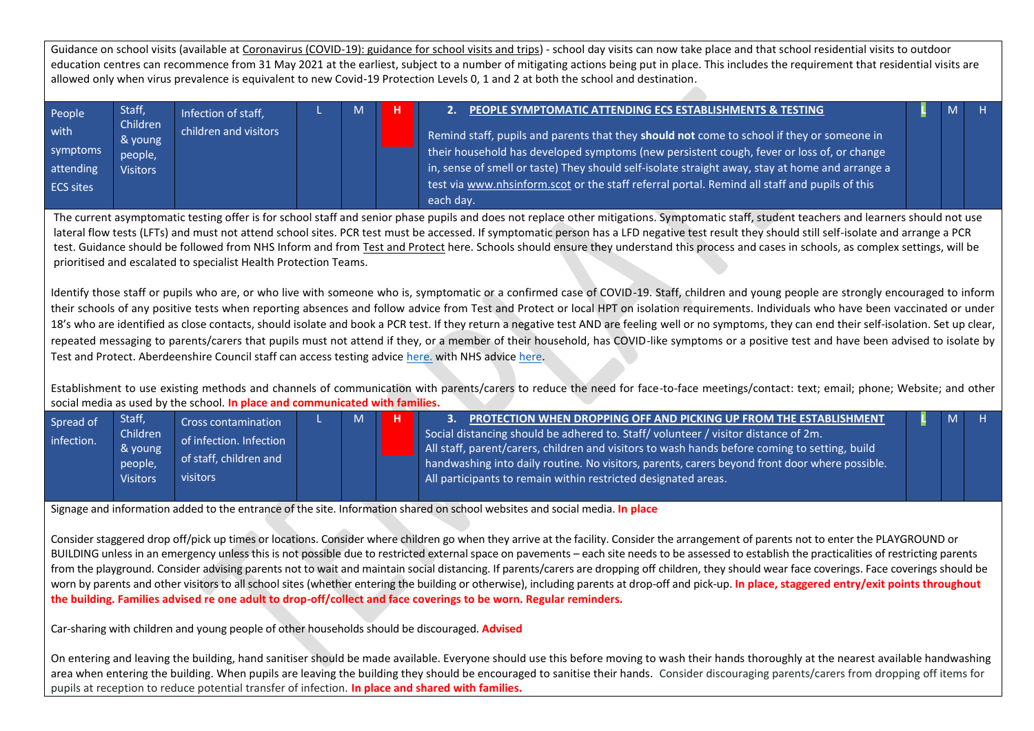Guidance on school visits (available at [Coronavirus \(COVID-19\): guidance for school visits and trips\)](https://www.gov.scot/publications/coronavirus-covid-19-guidance-for-school-visits-and-trips/) - school day visits can now take place and that school residential visits to outdoor education centres can recommence from 31 May 2021 at the earliest, subject to a number of mitigating actions being put in place. This includes the requirement that residential visits are allowed only when virus prevalence is equivalent to new Covid-19 Protection Levels 0, 1 and 2 at both the school and destination.

| People           | Staff,              | Infection of staff,   | M | PEOPLE SYMPTOMATIC ATTENDING ECS ESTABLISHMENTS & TESTING                                                        |  |  |
|------------------|---------------------|-----------------------|---|------------------------------------------------------------------------------------------------------------------|--|--|
| with             | Children<br>& young | children and visitors |   | Remind staff, pupils and parents that they should not come to school if they or someone in                       |  |  |
| symptoms         | people,             |                       |   | $\downarrow$ their household has developed symptoms (new persistent cough, fever or loss of, or change $^\prime$ |  |  |
| attending        | <b>Visitors</b>     |                       |   | in, sense of smell or taste) They should self-isolate straight away, stay at home and arrange a                  |  |  |
| <b>ECS sites</b> |                     |                       |   | test via www.nhsinform.scot or the staff referral portal. Remind all staff and pupils of this                    |  |  |
|                  |                     |                       |   | each day.                                                                                                        |  |  |

The current asymptomatic testing offer is for school staff and senior phase pupils and does not replace other mitigations. Symptomatic staff, student teachers and learners should not use lateral flow tests (LFTs) and must not attend school sites. PCR test must be accessed. If symptomatic person has a LFD negative test result they should still self-isolate and arrange a PCR test. Guidance should be followed from NHS Inform and from Test [and Protect](https://www.nhsinform.scot/campaigns/test-and-protect) here. Schools should ensure they understand this process and cases in schools, as complex settings, will be prioritised and escalated to specialist Health Protection Teams.

Identify those staff or pupils who are, or who live with someone who is, symptomatic or a confirmed case of COVID-19. Staff, children and young people are strongly encouraged to inform their schools of any positive tests when reporting absences and follow advice from Test and Protect or local HPT on isolation requirements. Individuals who have been vaccinated or under 18's who are identified as close contacts, should isolate and book a PCR test. If they return a negative test AND are feeling well or no symptoms, they can end their self-isolation. Set up clear, repeated messaging to parents/carers that pupils must not attend if they, or a member of their household, has COVID-like symptoms or a positive test and have been advised to isolate by Test and Protect. Aberdeenshire Council staff can access testing advice [here.](https://aberdeenshire.sharepoint.com/:w:/r/sites/covid-19childcarehubstaffinformation/_layouts/15/Doc.aspx?sourcedoc=%7B6F29F5AD-96EE-4637-8D10-012490D40AC9%7D&file=ECS%20Staff%20Testing%20Advice%20230920.docx&action=default&mobileredirect=true) with NHS advic[e here.](https://aberdeenshire.sharepoint.com/:w:/r/sites/covid-19childcarehubstaffinformation/_layouts/15/Doc.aspx?sourcedoc=%7B6C873C53-C9AE-44B0-8126-205A874667C9%7D&file=Covid-19%20-%20Accessing%20School%20Staff%20Testing.docx&action=default&mobileredirect=true)

Establishment to use existing methods and channels of communication with parents/carers to reduce the need for face-to-face meetings/contact: text; email; phone; Website; and other social media as used by the school. **In place and communicated with families.**

| Spread of<br>infection. | Staff,<br>Children<br>& young<br>people,<br><b>Visitors</b> | Cross contamination<br>of infection. Infection<br>of staff, children and<br>visitors |  | M |  | PROTECTION WHEN DROPPING OFF AND PICKING UP FROM THE ESTABLISHMENT<br>Social distancing should be adhered to. Staff/volunteer / visitor distance of 2m.<br>   All staff, parent/carers, children and visitors to wash hands before coming to setting, build<br>$\Box$ handwashing into daily routine. No visitors, parents, carers beyond front door where possible.<br>All participants to remain within restricted designated areas. |  |  |  |
|-------------------------|-------------------------------------------------------------|--------------------------------------------------------------------------------------|--|---|--|----------------------------------------------------------------------------------------------------------------------------------------------------------------------------------------------------------------------------------------------------------------------------------------------------------------------------------------------------------------------------------------------------------------------------------------|--|--|--|
|-------------------------|-------------------------------------------------------------|--------------------------------------------------------------------------------------|--|---|--|----------------------------------------------------------------------------------------------------------------------------------------------------------------------------------------------------------------------------------------------------------------------------------------------------------------------------------------------------------------------------------------------------------------------------------------|--|--|--|

Signage and information added to the entrance of the site. Information shared on school websites and social media. **In place**

Consider staggered drop off/pick up times or locations. Consider where children go when they arrive at the facility. Consider the arrangement of parents not to enter the PLAYGROUND or BUILDING unless in an emergency unless this is not possible due to restricted external space on pavements – each site needs to be assessed to establish the practicalities of restricting parents from the playground. Consider advising parents not to wait and maintain social distancing. If parents/carers are dropping off children, they should wear face coverings. Face coverings should be worn by parents and other visitors to all school sites (whether entering the building or otherwise), including parents at drop-off and pick-up. **In place, staggered entry/exit points throughout the building. Families advised re one adult to drop-off/collect and face coverings to be worn. Regular reminders.**

Car-sharing with children and young people of other households should be discouraged. **Advised**

On entering and leaving the building, hand sanitiser should be made available. Everyone should use this before moving to wash their hands thoroughly at the nearest available handwashing area when entering the building. When pupils are leaving the building they should be encouraged to sanitise their hands. Consider discouraging parents/carers from dropping off items for pupils at reception to reduce potential transfer of infection. **In place and shared with families.**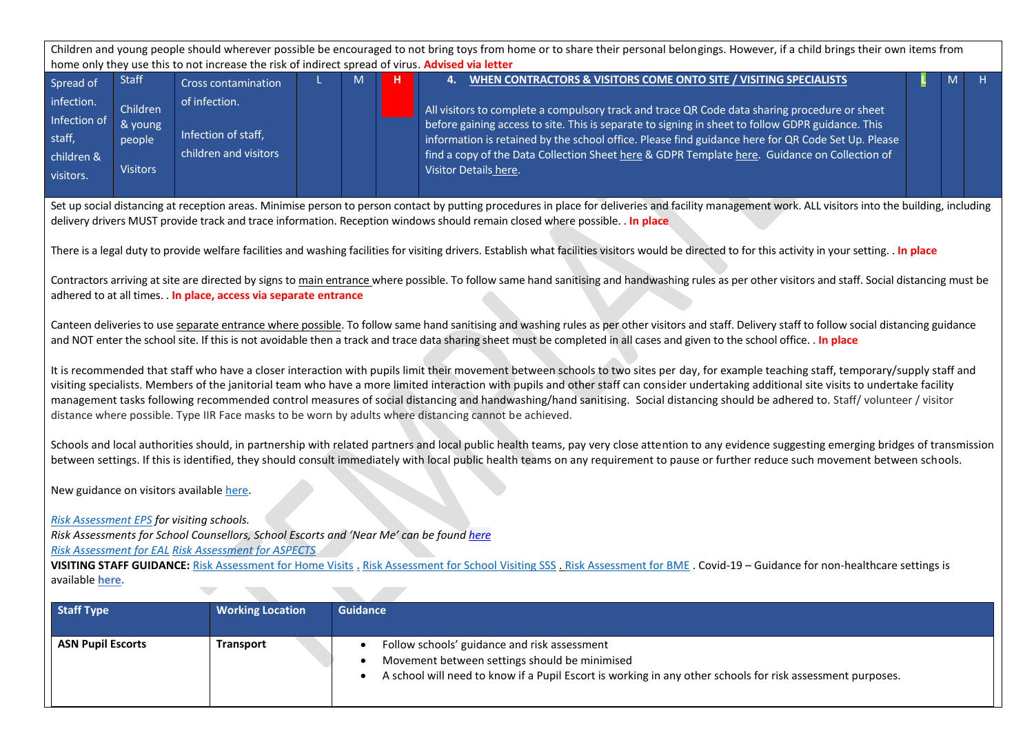|                                                                              |                                                                                                                                                                                                                                                                                                                                                                                  | home only they use this to not increase the risk of indirect spread of virus. Advised via letter                                                                                            |  |                 | Children and young people should wherever possible be encouraged to not bring toys from home or to share their personal belongings. However, if a child brings their own items from                                                                                                                                                                                                                                                                                                                                                                                                                                                                                                 |        |  |  |  |  |  |  |
|------------------------------------------------------------------------------|----------------------------------------------------------------------------------------------------------------------------------------------------------------------------------------------------------------------------------------------------------------------------------------------------------------------------------------------------------------------------------|---------------------------------------------------------------------------------------------------------------------------------------------------------------------------------------------|--|-----------------|-------------------------------------------------------------------------------------------------------------------------------------------------------------------------------------------------------------------------------------------------------------------------------------------------------------------------------------------------------------------------------------------------------------------------------------------------------------------------------------------------------------------------------------------------------------------------------------------------------------------------------------------------------------------------------------|--------|--|--|--|--|--|--|
| Spread of<br>infection.<br>Infection of<br>staff,<br>children &<br>visitors. | <b>Staff</b><br>Children<br>& young<br>people<br><b>Visitors</b>                                                                                                                                                                                                                                                                                                                 | <b>Cross contamination</b><br>of infection.<br>Infection of staff,<br>children and visitors                                                                                                 |  | M<br>н          | WHEN CONTRACTORS & VISITORS COME ONTO SITE / VISITING SPECIALISTS<br>4.<br>All visitors to complete a compulsory track and trace QR Code data sharing procedure or sheet<br>before gaining access to site. This is separate to signing in sheet to follow GDPR guidance. This<br>information is retained by the school office. Please find guidance here for QR Code Set Up. Please<br>find a copy of the Data Collection Sheet here & GDPR Template here. Guidance on Collection of<br>Visitor Details here.                                                                                                                                                                       | H<br>м |  |  |  |  |  |  |
|                                                                              |                                                                                                                                                                                                                                                                                                                                                                                  |                                                                                                                                                                                             |  |                 | Set up social distancing at reception areas. Minimise person to person contact by putting procedures in place for deliveries and facility management work. ALL visitors into the building, including<br>delivery drivers MUST provide track and trace information. Reception windows should remain closed where possible. In place<br>There is a legal duty to provide welfare facilities and washing facilities for visiting drivers. Establish what facilities visitors would be directed to for this activity in your setting. . In place                                                                                                                                        |        |  |  |  |  |  |  |
|                                                                              |                                                                                                                                                                                                                                                                                                                                                                                  | adhered to at all times. . In place, access via separate entrance                                                                                                                           |  |                 | Contractors arriving at site are directed by signs to main entrance where possible. To follow same hand sanitising and handwashing rules as per other visitors and staff. Social distancing must be                                                                                                                                                                                                                                                                                                                                                                                                                                                                                 |        |  |  |  |  |  |  |
|                                                                              | Canteen deliveries to use separate entrance where possible. To follow same hand sanitising and washing rules as per other visitors and staff. Delivery staff to follow social distancing guidance<br>and NOT enter the school site. If this is not avoidable then a track and trace data sharing sheet must be completed in all cases and given to the school office. . In place |                                                                                                                                                                                             |  |                 |                                                                                                                                                                                                                                                                                                                                                                                                                                                                                                                                                                                                                                                                                     |        |  |  |  |  |  |  |
|                                                                              |                                                                                                                                                                                                                                                                                                                                                                                  |                                                                                                                                                                                             |  |                 | It is recommended that staff who have a closer interaction with pupils limit their movement between schools to two sites per day, for example teaching staff, temporary/supply staff and<br>visiting specialists. Members of the janitorial team who have a more limited interaction with pupils and other staff can consider undertaking additional site visits to undertake facility<br>management tasks following recommended control measures of social distancing and handwashing/hand sanitising. Social distancing should be adhered to. Staff/volunteer / visitor<br>distance where possible. Type IIR Face masks to be worn by adults where distancing cannot be achieved. |        |  |  |  |  |  |  |
|                                                                              |                                                                                                                                                                                                                                                                                                                                                                                  |                                                                                                                                                                                             |  |                 | Schools and local authorities should, in partnership with related partners and local public health teams, pay very close attention to any evidence suggesting emerging bridges of transmission<br>between settings. If this is identified, they should consult immediately with local public health teams on any requirement to pause or further reduce such movement between schools.                                                                                                                                                                                                                                                                                              |        |  |  |  |  |  |  |
|                                                                              |                                                                                                                                                                                                                                                                                                                                                                                  | New guidance on visitors available here.                                                                                                                                                    |  |                 |                                                                                                                                                                                                                                                                                                                                                                                                                                                                                                                                                                                                                                                                                     |        |  |  |  |  |  |  |
| available here.                                                              |                                                                                                                                                                                                                                                                                                                                                                                  | Risk Assessment EPS for visiting schools.<br>Risk Assessments for School Counsellors, School Escorts and 'Near Me' can be found here<br>Risk Assessment for EAL Risk Assessment for ASPECTS |  |                 | VISITING STAFF GUIDANCE: Risk Assessment for Home Visits . Risk Assessment for School Visiting SSS . Risk Assessment for BME . Covid-19 - Guidance for non-healthcare settings is                                                                                                                                                                                                                                                                                                                                                                                                                                                                                                   |        |  |  |  |  |  |  |
| <b>Staff Type</b>                                                            |                                                                                                                                                                                                                                                                                                                                                                                  | <b>Working Location</b>                                                                                                                                                                     |  | <b>Guidance</b> |                                                                                                                                                                                                                                                                                                                                                                                                                                                                                                                                                                                                                                                                                     |        |  |  |  |  |  |  |
| <b>ASN Pupil Escorts</b>                                                     |                                                                                                                                                                                                                                                                                                                                                                                  | <b>Transport</b>                                                                                                                                                                            |  |                 | Follow schools' guidance and risk assessment                                                                                                                                                                                                                                                                                                                                                                                                                                                                                                                                                                                                                                        |        |  |  |  |  |  |  |
|                                                                              |                                                                                                                                                                                                                                                                                                                                                                                  |                                                                                                                                                                                             |  | $\bullet$       | Movement between settings should be minimised<br>A school will need to know if a Pupil Escort is working in any other schools for risk assessment purposes.                                                                                                                                                                                                                                                                                                                                                                                                                                                                                                                         |        |  |  |  |  |  |  |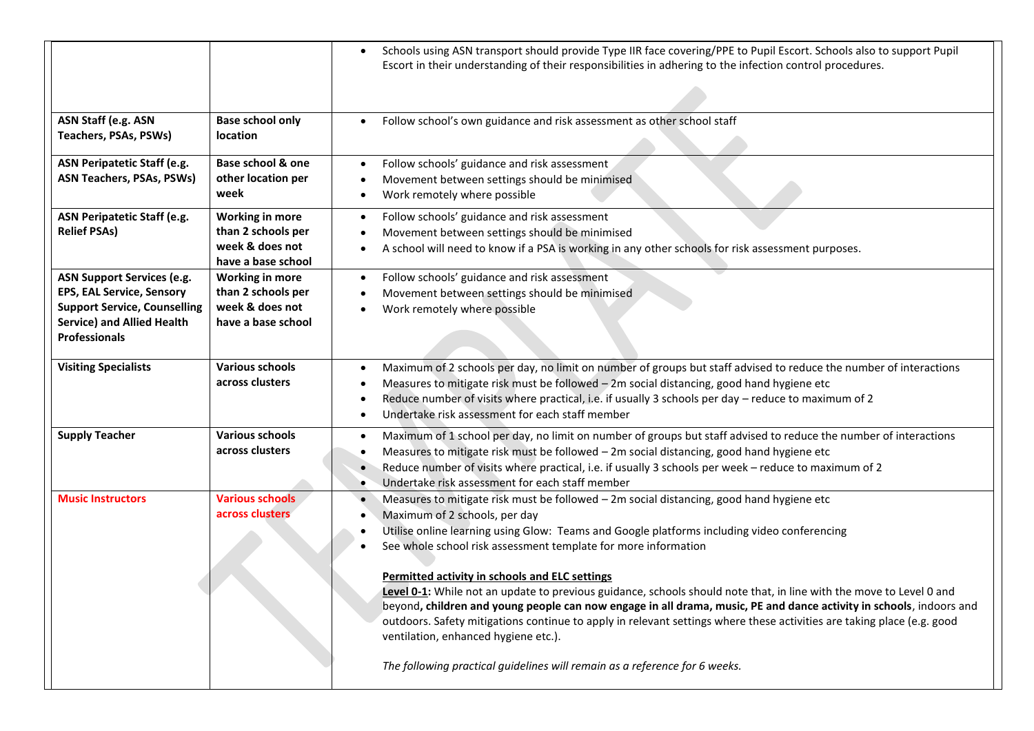|                                                                                                                                                                           |                                                                                       | Schools using ASN transport should provide Type IIR face covering/PPE to Pupil Escort. Schools also to support Pupil<br>Escort in their understanding of their responsibilities in adhering to the infection control procedures.                                                                                                                                                                                                                                                                                                                                                                                                                                                                                                                             |
|---------------------------------------------------------------------------------------------------------------------------------------------------------------------------|---------------------------------------------------------------------------------------|--------------------------------------------------------------------------------------------------------------------------------------------------------------------------------------------------------------------------------------------------------------------------------------------------------------------------------------------------------------------------------------------------------------------------------------------------------------------------------------------------------------------------------------------------------------------------------------------------------------------------------------------------------------------------------------------------------------------------------------------------------------|
| ASN Staff (e.g. ASN<br>Teachers, PSAs, PSWs)                                                                                                                              | <b>Base school only</b><br>location                                                   | Follow school's own guidance and risk assessment as other school staff<br>$\bullet$                                                                                                                                                                                                                                                                                                                                                                                                                                                                                                                                                                                                                                                                          |
| ASN Peripatetic Staff (e.g.<br><b>ASN Teachers, PSAs, PSWs)</b>                                                                                                           | Base school & one<br>other location per<br>week                                       | Follow schools' guidance and risk assessment<br>Movement between settings should be minimised<br>Work remotely where possible<br>٠                                                                                                                                                                                                                                                                                                                                                                                                                                                                                                                                                                                                                           |
| <b>ASN Peripatetic Staff (e.g.</b><br><b>Relief PSAs)</b>                                                                                                                 | <b>Working in more</b><br>than 2 schools per<br>week & does not<br>have a base school | Follow schools' guidance and risk assessment<br>٠<br>Movement between settings should be minimised<br>A school will need to know if a PSA is working in any other schools for risk assessment purposes.                                                                                                                                                                                                                                                                                                                                                                                                                                                                                                                                                      |
| <b>ASN Support Services (e.g.</b><br><b>EPS, EAL Service, Sensory</b><br><b>Support Service, Counselling</b><br><b>Service) and Allied Health</b><br><b>Professionals</b> | <b>Working in more</b><br>than 2 schools per<br>week & does not<br>have a base school | Follow schools' guidance and risk assessment<br>Movement between settings should be minimised<br>Work remotely where possible                                                                                                                                                                                                                                                                                                                                                                                                                                                                                                                                                                                                                                |
| <b>Visiting Specialists</b>                                                                                                                                               | <b>Various schools</b><br>across clusters                                             | Maximum of 2 schools per day, no limit on number of groups but staff advised to reduce the number of interactions<br>Measures to mitigate risk must be followed $-2m$ social distancing, good hand hygiene etc<br>Reduce number of visits where practical, i.e. if usually 3 schools per day - reduce to maximum of 2<br>Undertake risk assessment for each staff member                                                                                                                                                                                                                                                                                                                                                                                     |
| <b>Supply Teacher</b>                                                                                                                                                     | <b>Various schools</b><br>across clusters                                             | Maximum of 1 school per day, no limit on number of groups but staff advised to reduce the number of interactions<br>Measures to mitigate risk must be followed - 2m social distancing, good hand hygiene etc<br>Reduce number of visits where practical, i.e. if usually 3 schools per week - reduce to maximum of 2<br>Undertake risk assessment for each staff member                                                                                                                                                                                                                                                                                                                                                                                      |
| <b>Music Instructors</b>                                                                                                                                                  | <b>Various schools</b><br>across clusters                                             | Measures to mitigate risk must be followed - 2m social distancing, good hand hygiene etc<br>Maximum of 2 schools, per day<br>Utilise online learning using Glow: Teams and Google platforms including video conferencing<br>See whole school risk assessment template for more information<br>Permitted activity in schools and ELC settings<br>Level 0-1: While not an update to previous guidance, schools should note that, in line with the move to Level 0 and<br>beyond, children and young people can now engage in all drama, music, PE and dance activity in schools, indoors and<br>outdoors. Safety mitigations continue to apply in relevant settings where these activities are taking place (e.g. good<br>ventilation, enhanced hygiene etc.). |
|                                                                                                                                                                           |                                                                                       | The following practical guidelines will remain as a reference for 6 weeks.                                                                                                                                                                                                                                                                                                                                                                                                                                                                                                                                                                                                                                                                                   |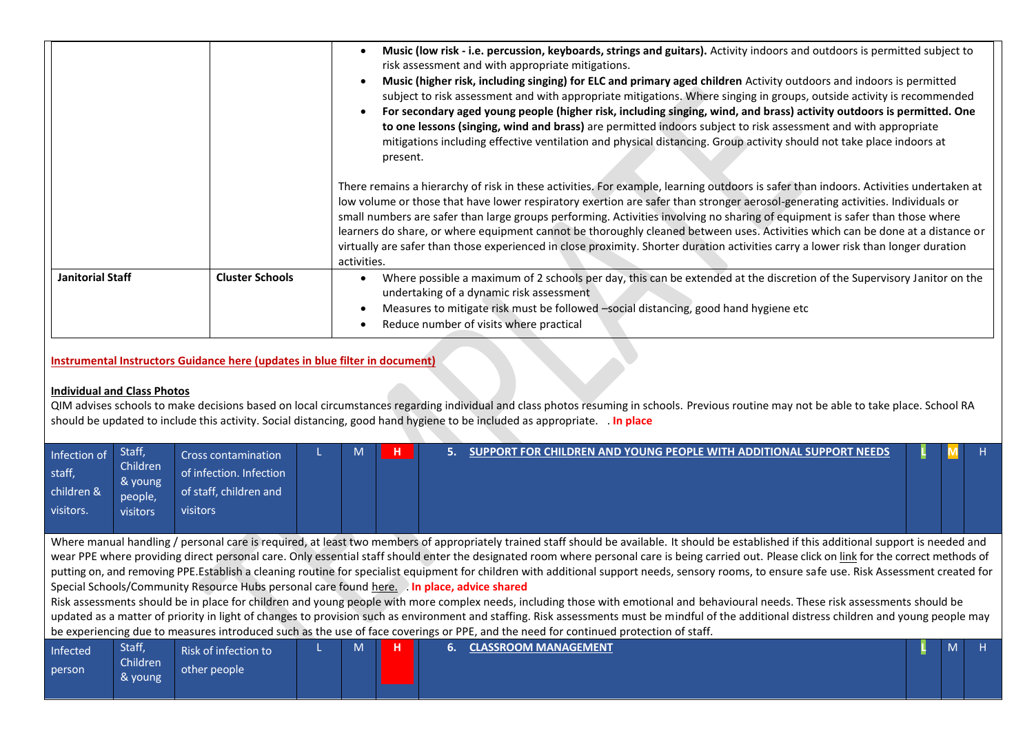|                                                                             |                        | Music (low risk - i.e. percussion, keyboards, strings and guitars). Activity indoors and outdoors is permitted subject to<br>risk assessment and with appropriate mitigations.<br>Music (higher risk, including singing) for ELC and primary aged children Activity outdoors and indoors is permitted<br>subject to risk assessment and with appropriate mitigations. Where singing in groups, outside activity is recommended<br>For secondary aged young people (higher risk, including singing, wind, and brass) activity outdoors is permitted. One<br>to one lessons (singing, wind and brass) are permitted indoors subject to risk assessment and with appropriate<br>mitigations including effective ventilation and physical distancing. Group activity should not take place indoors at<br>present. |
|-----------------------------------------------------------------------------|------------------------|---------------------------------------------------------------------------------------------------------------------------------------------------------------------------------------------------------------------------------------------------------------------------------------------------------------------------------------------------------------------------------------------------------------------------------------------------------------------------------------------------------------------------------------------------------------------------------------------------------------------------------------------------------------------------------------------------------------------------------------------------------------------------------------------------------------|
|                                                                             |                        | There remains a hierarchy of risk in these activities. For example, learning outdoors is safer than indoors. Activities undertaken at<br>low volume or those that have lower respiratory exertion are safer than stronger aerosol-generating activities. Individuals or<br>small numbers are safer than large groups performing. Activities involving no sharing of equipment is safer than those where<br>learners do share, or where equipment cannot be thoroughly cleaned between uses. Activities which can be done at a distance or<br>virtually are safer than those experienced in close proximity. Shorter duration activities carry a lower risk than longer duration<br>activities.                                                                                                                |
| <b>Janitorial Staff</b>                                                     | <b>Cluster Schools</b> | Where possible a maximum of 2 schools per day, this can be extended at the discretion of the Supervisory Janitor on the<br>undertaking of a dynamic risk assessment<br>Measures to mitigate risk must be followed -social distancing, good hand hygiene etc<br>Reduce number of visits where practical                                                                                                                                                                                                                                                                                                                                                                                                                                                                                                        |
| Instrumental Instructors Guidance here (updates in blue filter in document) |                        |                                                                                                                                                                                                                                                                                                                                                                                                                                                                                                                                                                                                                                                                                                                                                                                                               |

# **Individual and Class Photos**

QIM advises schools to make decisions based on local circumstances regarding individual and class photos resuming in schools. Previous routine may not be able to take place. School RA should be updated to include this activity. Social distancing, good hand hygiene to be included as appropriate. . **In place**

| Infection of<br>staff,<br>children &<br>visitors. | Staff,<br>Children<br>& young<br>people,<br><b>visitors</b> | Cross contamination<br>of infection. Infection<br>of staff, children and<br><b>visitors</b> |  | 5. | SUPPORT FOR CHILDREN AND YOUNG PEOPLE WITH ADDITIONAL SUPPORT NEEDS                                                                                                                            |  |  |
|---------------------------------------------------|-------------------------------------------------------------|---------------------------------------------------------------------------------------------|--|----|------------------------------------------------------------------------------------------------------------------------------------------------------------------------------------------------|--|--|
|                                                   |                                                             |                                                                                             |  |    | Where manual handling / personal care is required, at least two members of appropriately trained staff should be available. It should be established if this additional support is needed and  |  |  |
|                                                   |                                                             |                                                                                             |  |    | wear PPE where providing direct personal care. Only essential staff should enter the designated room where personal care is being carried out. Please click on link for the correct methods of |  |  |
|                                                   |                                                             |                                                                                             |  |    | putting on, and removing PPE.Establish a cleaning routine for specialist equipment for children with additional support needs, sensory rooms, to ensure safe use. Risk Assessment created for  |  |  |
|                                                   |                                                             | Special Schools/Community Resource Hubs personal care found here. In place, advice shared   |  |    |                                                                                                                                                                                                |  |  |
|                                                   |                                                             |                                                                                             |  |    | Risk assessments should be in place for children and young people with more complex needs, including those with emotional and behavioural needs. These risk assessments should be              |  |  |
|                                                   |                                                             |                                                                                             |  |    | updated as a matter of priority in light of changes to provision such as environment and staffing. Risk assessments must be mindful of the additional distress children and young people may   |  |  |
|                                                   |                                                             |                                                                                             |  |    | be experiencing due to measures introduced such as the use of face coverings or PPE, and the need for continued protection of staff.                                                           |  |  |
| Infected                                          | Staff,                                                      | Risk of infection to                                                                        |  |    | <b>CLASSROOM MANAGEMENT</b>                                                                                                                                                                    |  |  |
| person                                            | <b>Children</b>                                             | other people                                                                                |  |    |                                                                                                                                                                                                |  |  |
|                                                   | & young                                                     |                                                                                             |  |    |                                                                                                                                                                                                |  |  |
|                                                   |                                                             |                                                                                             |  |    |                                                                                                                                                                                                |  |  |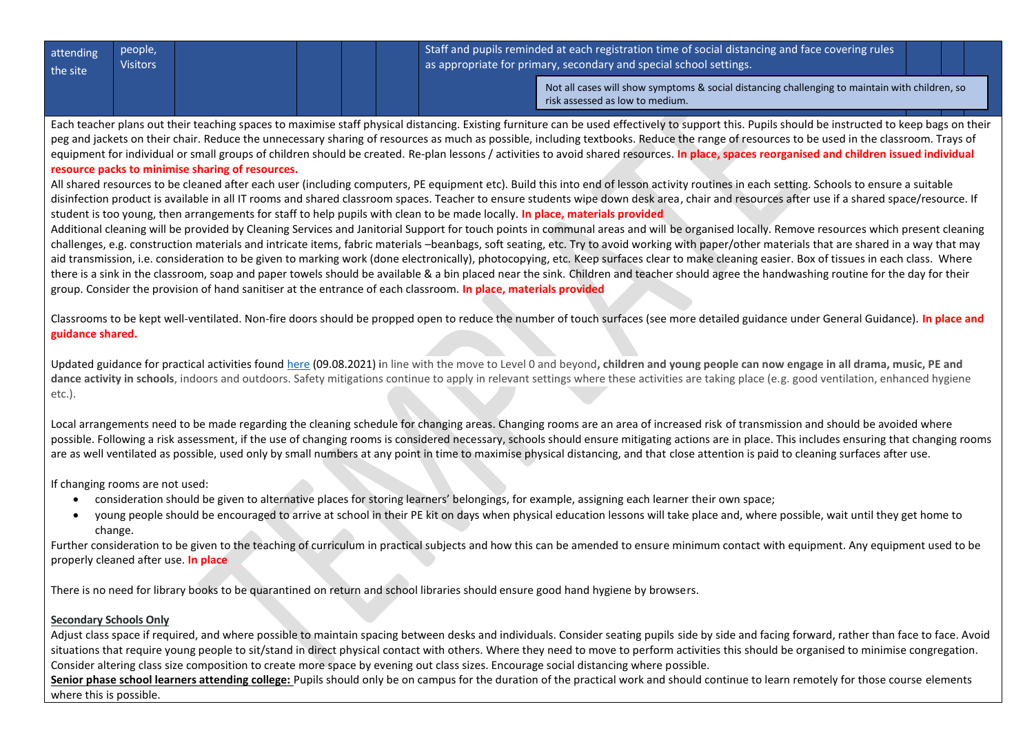| attending<br>the site | people,<br><b>Visitors</b> |  |  |                                                                                                                                   | $\mid$ Staff and pupils reminded at each registration time of social distancing and face covering rules<br>as appropriate for primary, secondary and special school settings. |  |
|-----------------------|----------------------------|--|--|-----------------------------------------------------------------------------------------------------------------------------------|-------------------------------------------------------------------------------------------------------------------------------------------------------------------------------|--|
|                       |                            |  |  | Not all cases will show symptoms & social distancing challenging to maintain with children, so<br>risk assessed as low to medium. |                                                                                                                                                                               |  |

Each teacher plans out their teaching spaces to maximise staff physical distancing. Existing furniture can be used effectively to support this. Pupils should be instructed to keep bags on their peg and jackets on their chair. Reduce the unnecessary sharing of resources as much as possible, including textbooks. Reduce the range of resources to be used in the classroom. Trays of equipment for individual or small groups of children should be created. Re-plan lessons / activities to avoid shared resources. In place, spaces reorganised and children issued individual **resource packs to minimise sharing of resources.**

All shared resources to be cleaned after each user (including computers, PE equipment etc). Build this into end of lesson activity routines in each setting. Schools to ensure a suitable disinfection product is available in all IT rooms and shared classroom spaces. Teacher to ensure students wipe down desk area, chair and resources after use if a shared space/resource. If student is too young, then arrangements for staff to help pupils with clean to be made locally. **In place, materials provided**

Additional cleaning will be provided by Cleaning Services and Janitorial Support for touch points in communal areas and will be organised locally. Remove resources which present cleaning challenges, e.g. construction materials and intricate items, fabric materials –beanbags, soft seating, etc. Try to avoid working with paper/other materials that are shared in a way that may aid transmission, i.e. consideration to be given to marking work (done electronically), photocopying, etc. Keep surfaces clear to make cleaning easier. Box of tissues in each class. Where there is a sink in the classroom, soap and paper towels should be available & a bin placed near the sink. Children and teacher should agree the handwashing routine for the day for their group. Consider the provision of hand sanitiser at the entrance of each classroom. **In place, materials provided**

Classrooms to be kept well-ventilated. Non-fire doors should be propped open to reduce the number of touch surfaces (see more detailed guidance under General Guidance). **In place and guidance shared.**

Updated guidance for practical activities foun[d here](https://education.gov.scot/improvement/covid-19-education-recovery/covid-19-return-to-educational-establishments/) (09.08.2021) in line with the move to Level 0 and beyond**, children and young people can now engage in all drama, music, PE and**  dance activity in schools, indoors and outdoors. Safety mitigations continue to apply in relevant settings where these activities are taking place (e.g. good ventilation, enhanced hygiene etc.).

Local arrangements need to be made regarding the cleaning schedule for changing areas. Changing rooms are an area of increased risk of transmission and should be avoided where possible. Following a risk assessment, if the use of changing rooms is considered necessary, schools should ensure mitigating actions are in place. This includes ensuring that changing rooms are as well ventilated as possible, used only by small numbers at any point in time to maximise physical distancing, and that close attention is paid to cleaning surfaces after use.

If changing rooms are not used:

- consideration should be given to alternative places for storing learners' belongings, for example, assigning each learner their own space;
- young people should be encouraged to arrive at school in their PE kit on days when physical education lessons will take place and, where possible, wait until they get home to change.

Further consideration to be given to the teaching of curriculum in practical subjects and how this can be amended to ensure minimum contact with equipment. Any equipment used to be properly cleaned after use. **In place**

There is no need for library books to be quarantined on return and school libraries should ensure good hand hygiene by browsers.

# **Secondary Schools Only**

Adjust class space if required, and where possible to maintain spacing between desks and individuals. Consider seating pupils side by side and facing forward, rather than face to face. Avoid situations that require young people to sit/stand in direct physical contact with others. Where they need to move to perform activities this should be organised to minimise congregation. Consider altering class size composition to create more space by evening out class sizes. Encourage social distancing where possible.

Senior phase school learners attending college: Pupils should only be on campus for the duration of the practical work and should continue to learn remotely for those course elements where this is possible.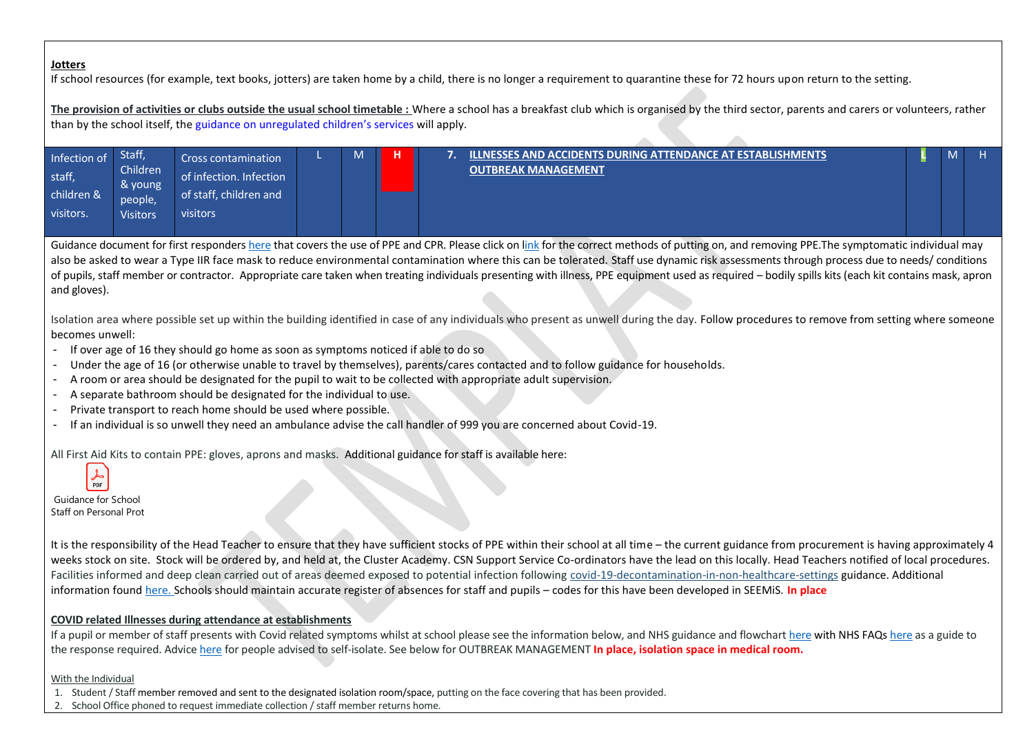## **Jotters**

If school resources (for example, text books, jotters) are taken home by a child, there is no longer a requirement to quarantine these for 72 hours upon return to the setting.

**The provision of activities or clubs outside the usual school timetable :** Where a school has a breakfast club which is organised by the third sector, parents and carers or volunteers, rather than by the school itself, the [guidance on](https://www.gov.scot/publications/coronavirus-covid-19-organised-activities-for-children/) unregulated children's services will apply.

 $\mathcal{L}$ 

| Infection of | Staff,              | Cross contamination     | M | н | ILLNESSES AND ACCIDENTS DURING ATTENDANCE AT ESTABLISHMENTS . | 'IVI |  |
|--------------|---------------------|-------------------------|---|---|---------------------------------------------------------------|------|--|
| staff,       | Children<br>& young | of infection. Infection |   |   | <b>OUTBREAK MANAGEMENT</b>                                    |      |  |
| children &   | people,             | of staff, children and  |   |   |                                                               |      |  |
| visitors.    | <b>Visitors</b>     | visitors                |   |   |                                                               |      |  |
|              |                     |                         |   |   |                                                               |      |  |

Guidance document for first responder[s here](https://www.gov.uk/government/publications/novel-coronavirus-2019-ncov-interim-guidance-for-first-responders/interim-guidance-for-first-responders-and-others-in-close-contact-with-symptomatic-people-with-potential-2019-ncov) that covers the use of PPE and CPR. Please click on [link](https://aberdeenshire.sharepoint.com/sites/Arcadia/services/Pages/Business%20Services/HR%20and%20OD/Health%20and%20Safety,%20Wellbeing%20and%20Risk%20Management/Health-and-Safety,-Wellbeing-and-Risk-Management.aspx) for the correct methods of putting on, and removing PPE. The symptomatic individual may also be asked to wear a Type IIR face mask to reduce environmental contamination where this can be tolerated. Staff use dynamic risk assessments through process due to needs/ conditions of pupils, staff member or contractor. Appropriate care taken when treating individuals presenting with illness, PPE equipment used as required – bodily spills kits (each kit contains mask, apron and gloves).

Isolation area where possible set up within the building identified in case of any individuals who present as unwell during the day. Follow procedures to remove from setting where someone becomes unwell:

- If over age of 16 they should go home as soon as symptoms noticed if able to do so
- Under the age of 16 (or otherwise unable to travel by themselves), parents/cares contacted and to follow guidance for households.
- A room or area should be designated for the pupil to wait to be collected with appropriate adult supervision.
- A separate bathroom should be designated for the individual to use.
- Private transport to reach home should be used where possible.
- If an individual is so unwell they need an ambulance advise the call handler of 999 you are concerned about Covid-19.

All First Aid Kits to contain PPE: gloves, aprons and masks. Additional guidance for staff is available here:

Guidance for School Staff on Personal Protective Equipment (PPE) requirements (PPE) requirements (PPE) requirements.

 $\frac{1}{\text{PDF}}$ 

It is the responsibility of the Head Teacher to ensure that they have sufficient stocks of PPE within their school at all time – the current guidance from procurement is having approximately 4 weeks stock on site. Stock will be ordered by, and held at, the Cluster Academy. CSN Support Service Co-ordinators have the lead on this locally. Head Teachers notified of local procedures. Facilities informed and deep clean carried out of areas deemed exposed to potential infection following [covid-19-decontamination-in-non-healthcare-settings](https://www.gov.uk/government/publications/covid-19-decontamination-in-non-healthcare-settings/covid-19-decontamination-in-non-healthcare-settings) guidance. Additional information found [here.](https://hpspubsrepo.blob.core.windows.net/hps-website/nss/2973/documents/1_covid-19-guidance-for-non-healthcare-settings.pdf) Schools should maintain accurate register of absences for staff and pupils – codes for this have been developed in SEEMiS. **In place**

# **COVID related Illnesses during attendance at establishments**

If a pupil or member of staff presents with Covid related symptoms whilst at school please see the information below, and NHS guidance and flowchar[t here](https://aberdeenshire.sharepoint.com/:w:/r/sites/covid-19childcarehubstaffinformation/_layouts/15/Doc.aspx?sourcedoc=%7B55AE122A-D6FE-46C4-BA36-31571B3E33A5%7D&file=NHS%20Coronavirus%20Guide%20Schools%20Aug%202020.docx&action=default&mobileredirect=true) with NHS FAQ[s here](https://aberdeenshire.sharepoint.com/:w:/r/sites/covid-19childcarehubstaffinformation/_layouts/15/Doc.aspx?sourcedoc=%7B55AE122A-D6FE-46C4-BA36-31571B3E33A5%7D&file=NHS%20Coronavirus%20Guide%20Schools%20Aug%202020.docx&action=default&mobileredirect=true) as a guide to the response required. Advic[e here](https://www.gov.scot/publications/coronavirus-covid-19-test-and-protect/pages/advice-for-employers/) for people advised to self-isolate. See below for OUTBREAK MANAGEMENT **In place, isolation space in medical room.**

#### With the Individual

- 1. Student / Staff member removed and sent to the designated isolation room/space, putting on the face covering that has been provided.
- 2. School Office phoned to request immediate collection / staff member returns home.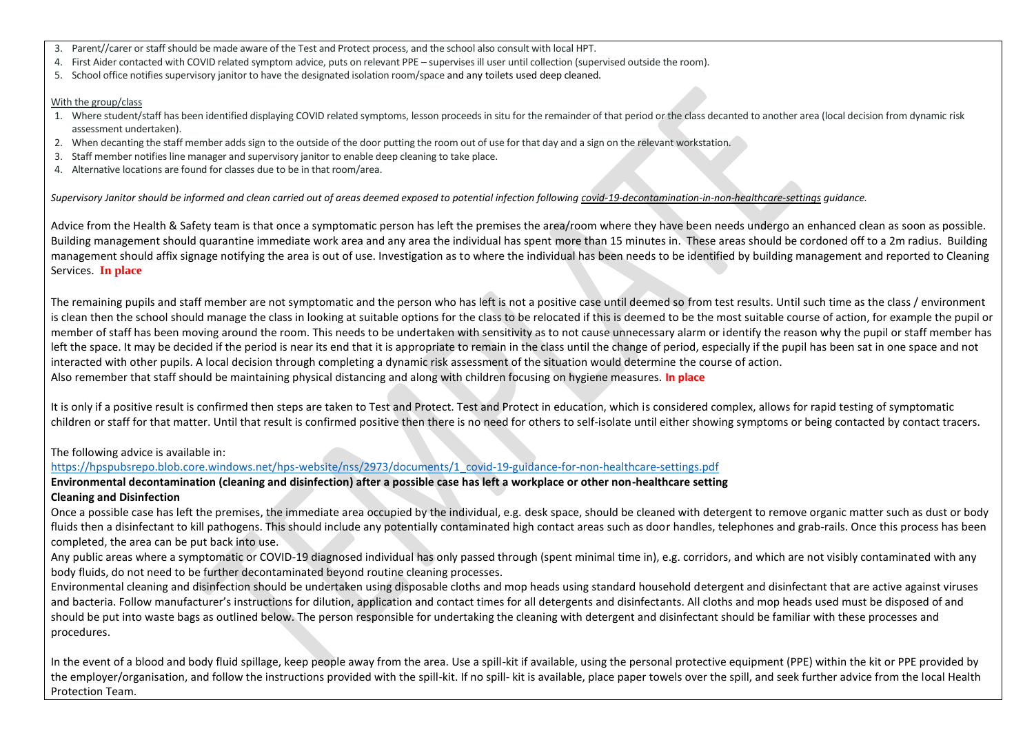- 3. Parent//carer or staff should be made aware of the Test and Protect process, and the school also consult with local HPT.
- 4. First Aider contacted with COVID related symptom advice, puts on relevant PPE supervises ill user until collection (supervised outside the room).
- 5. School office notifies supervisory janitor to have the designated isolation room/space and any toilets used deep cleaned.

#### With the group/class

- 1. Where student/staff has been identified displaying COVID related symptoms, lesson proceeds in situ for the remainder of that period or the class decanted to another area (local decision from dynamic risk assessment undertaken).
- 2. When decanting the staff member adds sign to the outside of the door putting the room out of use for that day and a sign on the relevant workstation.
- 3. Staff member notifies line manager and supervisory janitor to enable deep cleaning to take place.
- 4. Alternative locations are found for classes due to be in that room/area.

Supervisory Janitor should be informed and clean carried out of areas deemed exposed to potential infection followin[g covid-19-decontamination-in-non-healthcare-settings](https://www.gov.uk/government/publications/covid-19-decontamination-in-non-healthcare-settings/covid-19-decontamination-in-non-healthcare-settings) quidance.

Advice from the Health & Safety team is that once a symptomatic person has left the premises the area/room where they have been needs undergo an enhanced clean as soon as possible. Building management should quarantine immediate work area and any area the individual has spent more than 15 minutes in. These areas should be cordoned off to a 2m radius. Building management should affix signage notifying the area is out of use. Investigation as to where the individual has been needs to be identified by building management and reported to Cleaning Services. **In place**

The remaining pupils and staff member are not symptomatic and the person who has left is not a positive case until deemed so from test results. Until such time as the class / environment is clean then the school should manage the class in looking at suitable options for the class to be relocated if this is deemed to be the most suitable course of action, for example the pupil or member of staff has been moving around the room. This needs to be undertaken with sensitivity as to not cause unnecessary alarm or identify the reason why the pupil or staff member has left the space. It may be decided if the period is near its end that it is appropriate to remain in the class until the change of period, especially if the pupil has been sat in one space and not interacted with other pupils. A local decision through completing a dynamic risk assessment of the situation would determine the course of action. Also remember that staff should be maintaining physical distancing and along with children focusing on hygiene measures. **In place**

It is only if a positive result is confirmed then steps are taken to Test and Protect. Test and Protect in education, which is considered complex, allows for rapid testing of symptomatic children or staff for that matter. Until that result is confirmed positive then there is no need for others to self-isolate until either showing symptoms or being contacted by contact tracers.

## The following advice is available in:

[https://hpspubsrepo.blob.core.windows.net/hps-website/nss/2973/documents/1\\_covid-19-guidance-for-non-healthcare-settings.pdf](https://hpspubsrepo.blob.core.windows.net/hps-website/nss/2973/documents/1_covid-19-guidance-for-non-healthcare-settings.pdf)

**Environmental decontamination (cleaning and disinfection) after a possible case has left a workplace or other non-healthcare setting Cleaning and Disinfection** 

Once a possible case has left the premises, the immediate area occupied by the individual, e.g. desk space, should be cleaned with detergent to remove organic matter such as dust or body fluids then a disinfectant to kill pathogens. This should include any potentially contaminated high contact areas such as door handles, telephones and grab-rails. Once this process has been completed, the area can be put back into use.

Any public areas where a symptomatic or COVID-19 diagnosed individual has only passed through (spent minimal time in), e.g. corridors, and which are not visibly contaminated with any body fluids, do not need to be further decontaminated beyond routine cleaning processes.

Environmental cleaning and disinfection should be undertaken using disposable cloths and mop heads using standard household detergent and disinfectant that are active against viruses and bacteria. Follow manufacturer's instructions for dilution, application and contact times for all detergents and disinfectants. All cloths and mop heads used must be disposed of and should be put into waste bags as outlined below. The person responsible for undertaking the cleaning with detergent and disinfectant should be familiar with these processes and procedures.

In the event of a blood and body fluid spillage, keep people away from the area. Use a spill-kit if available, using the personal protective equipment (PPE) within the kit or PPE provided by the employer/organisation, and follow the instructions provided with the spill-kit. If no spill- kit is available, place paper towels over the spill, and seek further advice from the local Health Protection Team.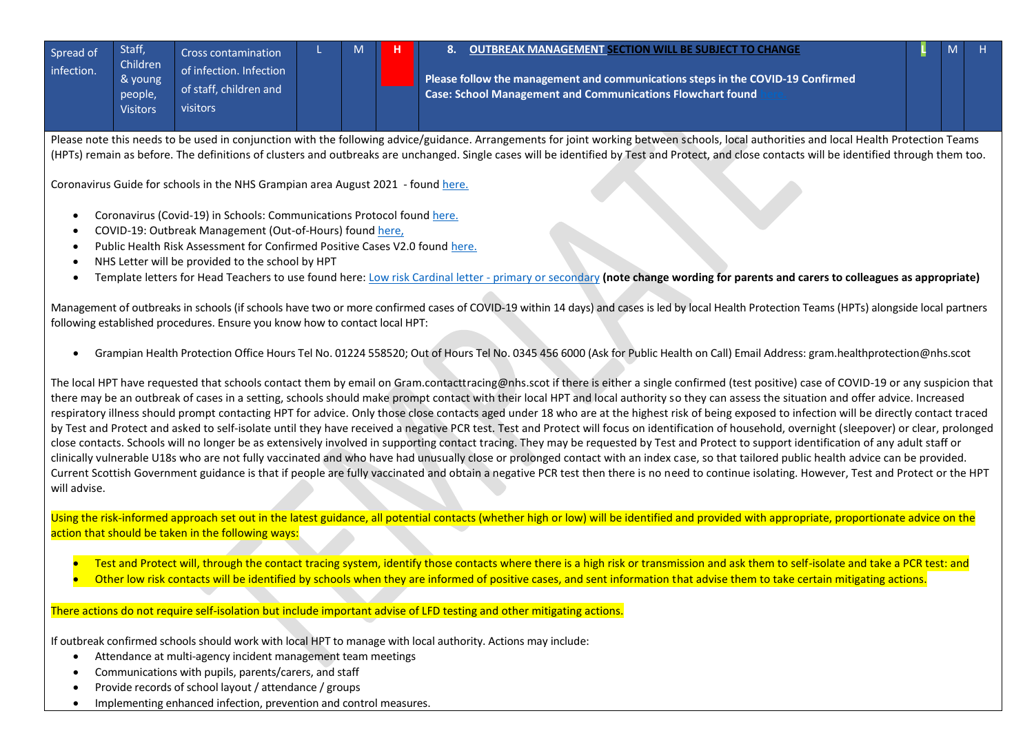| Staff.<br>Spread of<br>infection. | Children<br>& young<br>people,<br><b>Visitors</b> | <b>Cross contamination</b><br>of infection. Infection<br>of staff, children and<br><b>visitors</b> | M | н |  |
|-----------------------------------|---------------------------------------------------|----------------------------------------------------------------------------------------------------|---|---|--|
|                                   |                                                   |                                                                                                    |   |   |  |

## 8. **OUTBREAK MANAGEMENT SECTION WILL BE SUBJECT TO CHANGE**

**Please follow the management and communications steps in the COVID-19 Confirmed Case: School Management and Communications Flowchart found [here.](https://aberdeenshire.sharepoint.com/:f:/r/sites/covid-19childcarehubstaffinformation/Shared%20Documents/School%20Recovery%20Documents/Outbreak%20Management?csf=1&web=1&e=8DjjWq)**

**L** M H

Please note this needs to be used in conjunction with the following advice/guidance. Arrangements for joint working between schools, local authorities and local Health Protection Teams (HPTs) remain as before. The definitions of clusters and outbreaks are unchanged. Single cases will be identified by Test and Protect, and close contacts will be identified through them too.

[Coronavirus Guide for schools in the NHS Grampian area](https://aberdeenshire.sharepoint.com/:w:/r/sites/covid-19childcarehubstaffinformation/_layouts/15/Doc.aspx?sourcedoc=%7B55AE122A-D6FE-46C4-BA36-31571B3E33A5%7D&file=NHS%20Coronavirus%20Guide%20Schools%20Aug%202020.docx&action=default&mobileredirect=true&wdLOR=cEBD634A7-9F9F-43BA-ADAA-AC6C725D87A5&cid=ee5175d4-23c0-4f5b-9314-1686de32605c) August 2021 - found [here.](https://www.gov.scot/publications/coronavirus-covid-19-guidance-on-reducing-the-risks-in-schools/documents/)

- [Coronavirus \(Covid-19\) in Schools: Communications Protocol](https://aberdeenshire.sharepoint.com/:w:/r/sites/CommunicationsTracker/_layouts/15/Doc.aspx?sourcedoc=%7B3AB773F3-5E0A-47EF-8FE8-B0C6B5EB7F8E%7D&file=Covid-19%20Schools%20Communications%20Protocol.docx&action=default&mobileredirect=true) found [here.](https://aberdeenshire.sharepoint.com/:w:/r/sites/covid-19childcarehubstaffinformation/_layouts/15/Doc.aspx?sourcedoc=%7BB0E1E0FB-1022-4B63-8278-02852D0A998E%7D&file=Covid-19%20Schools%20Communications%20Protocol.docx&action=default&mobileredirect=true)
- [COVID-19: Outbreak Management \(Out-of-Hours\)](https://aberdeenshire.sharepoint.com/:w:/s/ECSONGOINGCOVID-19RESPONSEworkinggroup/ETgngfSDHVVDu_0opvLGGOMBqpaZ0PPz6AdZ1wx6qndBwA?e=lRfsnc&CID=D324841C-BB3A-4134-8468-A0FB9A4E7948&wdLOR=cA02A731E-2686-4934-9DD7-0C8AD7E0E02B) found [here,](https://aberdeenshire.sharepoint.com/:w:/r/sites/covid-19childcarehubstaffinformation/_layouts/15/Doc.aspx?sourcedoc=%7BDD9D5B76-A82E-4C13-ACB5-4E5F035A04D3%7D&file=OOH%20Duty%20Officer%20-%20School%20Outbreak%20-%20amendment%20January%202021.docx&action=default&mobileredirect=true)
- Public Health Risk Assessment for Confirmed Positive Cases V2.0 found [here.](https://aberdeenshire.sharepoint.com/:w:/r/sites/covid-19childcarehubstaffinformation/_layouts/15/Doc.aspx?sourcedoc=%7B210308DD-5E05-46A8-B676-521AF1B27DF0%7D&file=20201130%20Risk%20Assessment%20Form%20for%20Public%20Health%20for%20confirmed%20positive%20case(s)%20%20in%20education%2020201130%20%20v2.0.docx&action=default&mobileredirect=true)
- NHS Letter will be provided to the school by HPT
- Template letters for Head Teachers to use found here[: Low risk Cardinal letter -](https://aberdeenshire.sharepoint.com/:f:/r/sites/covid-19childcarehubstaffinformation/Shared%20Documents/School%20Recovery%20Documents/Outbreak%20Management?csf=1&web=1&e=velEz6) primary or secondary **(note change wording for parents and carers to colleagues as appropriate)**

Management of outbreaks in schools (if schools have two or more confirmed cases of COVID-19 within 14 days) and cases is led by local Health Protection Teams (HPTs) alongside local partners following establishe[d procedures.](https://hpspubsrepo.blob.core.windows.net/hps-website/nss/1673/documents/1_shpn-12-management-public-health-incidents.pdf.) Ensure you know how to contact local HPT:

• Grampian Health Protection Office Hours Tel No. 01224 558520; Out of Hours Tel No. 0345 456 6000 (Ask for Public Health on Call) Email Address: gram.healthprotection@nhs.scot

The local HPT have requested that schools contact them by email on Gram.contacttracing@nhs.scot if there is either a single confirmed (test positive) case of COVID-19 or any suspicion that there may be an outbreak of cases in a setting, schools should make prompt contact with their local HPT and local authority so they can assess the situation and offer advice. Increased respiratory illness should prompt contacting HPT for advice. Only those close contacts aged under 18 who are at the highest risk of being exposed to infection will be directly contact traced by Test and Protect and asked to self-isolate until they have received a negative PCR test. Test and Protect will focus on identification of household, overnight (sleepover) or clear, prolonged close contacts. Schools will no longer be as extensively involved in supporting contact tracing. They may be requested by Test and Protect to support identification of any adult staff or clinically vulnerable U18s who are not fully vaccinated and who have had unusually close or prolonged contact with an index case, so that tailored public health advice can be provided. Current Scottish Government guidance is that if people are fully vaccinated and obtain a negative PCR test then there is no need to continue isolating. However, Test and Protect or the HPT will advise.

Using the risk-informed approach set out in the latest guidance, all potential contacts (whether high or low) will be identified and provided with appropriate, proportionate advice on the action that should be taken in the following ways:

- Test and Protect will, through the contact tracing system, identify those contacts where there is a high risk or transmission and ask them to self-isolate and take a PCR test: and
- Other low risk contacts will be identified by schools when they are informed of positive cases, and sent information that advise them to take certain mitigating actions.

# There actions do not require self-isolation but include important advise of LFD testing and other mitigating actions.

If outbreak confirmed schools should work with local HPT to manage with local authority. Actions may include:

- Attendance at multi-agency incident management team meetings
- Communications with pupils, parents/carers, and staff
- Provide records of school layout / attendance / groups
- Implementing enhanced infection, prevention and control measures.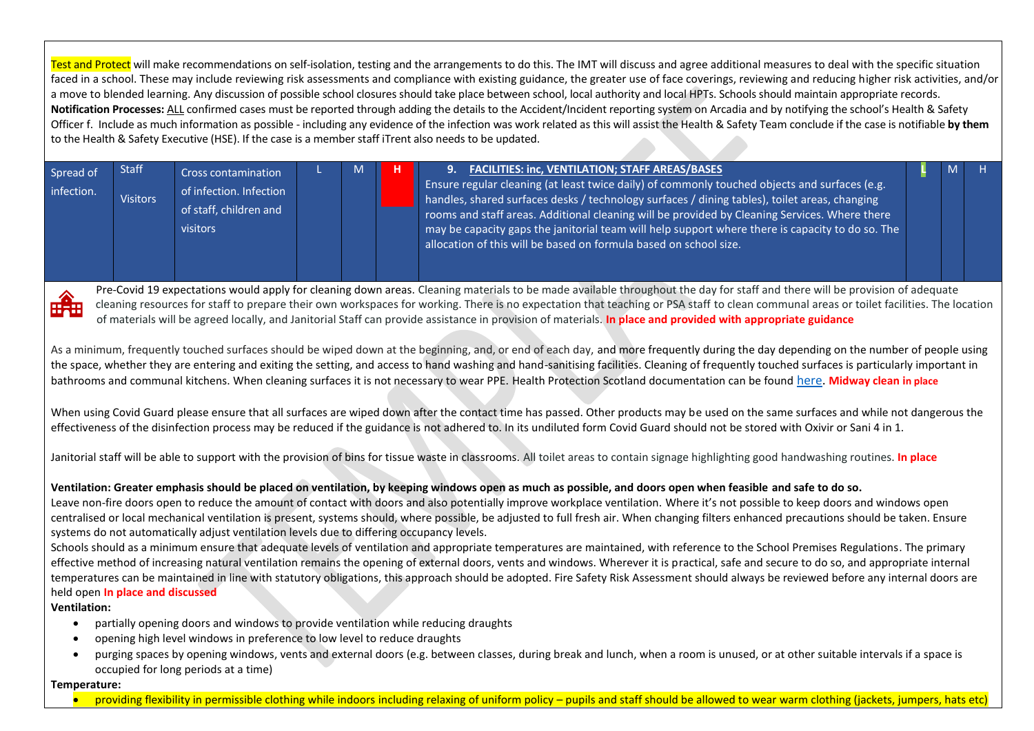Test and Protect will make recommendations on self-isolation, testing and the arrangements to do this. The IMT will discuss and agree additional measures to deal with the specific situation faced in a school. These may include reviewing risk assessments and compliance with existing guidance, the greater use of face coverings, reviewing and reducing higher risk activities, and/or a move to blended learning. Any discussion of possible school closures should take place between school, local authority and local HPTs. Schools should maintain appropriate records. **Notification Processes:** ALL confirmed cases must be reported through adding the details to the Accident/Incident reporting system on Arcadia and by notifying the school's Health & Safety Officer f. Include as much information as possible - including any evidence of the infection was work related as this will assist the Health & Safety Team conclude if the case is notifiable **by them** to the Health & Safety Executive (HSE). If the case is a member staff iTrent also needs to be updated.

| Spread of<br>infection. | <b>Staff</b><br><b>Visitors</b> | <b>Cross contamination</b><br>of infection. Infection<br>of staff, children and<br>visitors |  | 9. FACILITIES: inc, VENTILATION; STAFF AREAS/BASES<br>Ensure regular cleaning (at least twice daily) of commonly touched objects and surfaces (e.g.<br>  handles, shared surfaces desks / technology surfaces / dining tables), toilet areas, changing<br>rooms and staff areas. Additional cleaning will be provided by Cleaning Services. Where there<br>may be capacity gaps the janitorial team will help support where there is capacity to do so. The<br>allocation of this will be based on formula based on school size. |  |  |
|-------------------------|---------------------------------|---------------------------------------------------------------------------------------------|--|----------------------------------------------------------------------------------------------------------------------------------------------------------------------------------------------------------------------------------------------------------------------------------------------------------------------------------------------------------------------------------------------------------------------------------------------------------------------------------------------------------------------------------|--|--|

Pre-Covid 19 expectations would apply for cleaning down areas. Cleaning materials to be made available throughout the day for staff and there will be provision of adequate cleaning resources for staff to prepare their own workspaces for working. There is no expectation that teaching or PSA staff to clean communal areas or toilet facilities. The location of materials will be agreed locally, and Janitorial Staff can provide assistance in provision of materials. **In place and provided with appropriate guidance**

As a minimum, frequently touched surfaces should be wiped down at the beginning, and, or end of each day, and more frequently during the day depending on the number of people using the space, whether they are entering and exiting the setting, and access to hand washing and hand-sanitising facilities. Cleaning of frequently touched surfaces is particularly important in bathrooms and communal kitchens. When cleaning surfaces it is not necessary to wear PPE. Health Protection Scotland documentation can be found [here.](https://hpspubsrepo.blob.core.windows.net/hps-website/nss/2973/documents/1_covid-19-guidance-for-non-healthcare-settings.pdf) **Midway clean in place**

When using Covid Guard please ensure that all surfaces are wiped down after the contact time has passed. Other products may be used on the same surfaces and while not dangerous the effectiveness of the disinfection process may be reduced if the guidance is not adhered to. In its undiluted form Covid Guard should not be stored with Oxivir or Sani 4 in 1.

Janitorial staff will be able to support with the provision of bins for tissue waste in classrooms. All toilet areas to contain signage highlighting good handwashing routines. **In place**

## **Ventilation: Greater emphasis should be placed on ventilation, by keeping windows open as much as possible, and doors open when feasible and safe to do so.**

Leave non-fire doors open to reduce the amount of contact with doors and also potentially improve workplace ventilation. Where it's not possible to keep doors and windows open centralised or local mechanical ventilation is present, systems should, where possible, be adjusted to full fresh air. When changing filters enhanced precautions should be taken. Ensure systems do not automatically adjust ventilation levels due to differing occupancy levels.

Schools should as a minimum ensure that adequate levels of ventilation and appropriate temperatures are maintained, with reference to the School Premises Regulations. The primary effective method of increasing natural ventilation remains the opening of external doors, vents and windows. Wherever it is practical, safe and secure to do so, and appropriate internal temperatures can be maintained in line with statutory obligations, this approach should be adopted. Fire Safety Risk Assessment should always be reviewed before any internal doors are held open **In place and discussed**

#### **Ventilation:**

- partially opening doors and windows to provide ventilation while reducing draughts
- opening high level windows in preference to low level to reduce draughts
- purging spaces by opening windows, vents and external doors (e.g. between classes, during break and lunch, when a room is unused, or at other suitable intervals if a space is occupied for long periods at a time)

#### **Temperature:**

providing flexibility in permissible clothing while indoors including relaxing of uniform policy – pupils and staff should be allowed to wear warm clothing (jackets, jumpers, hats etc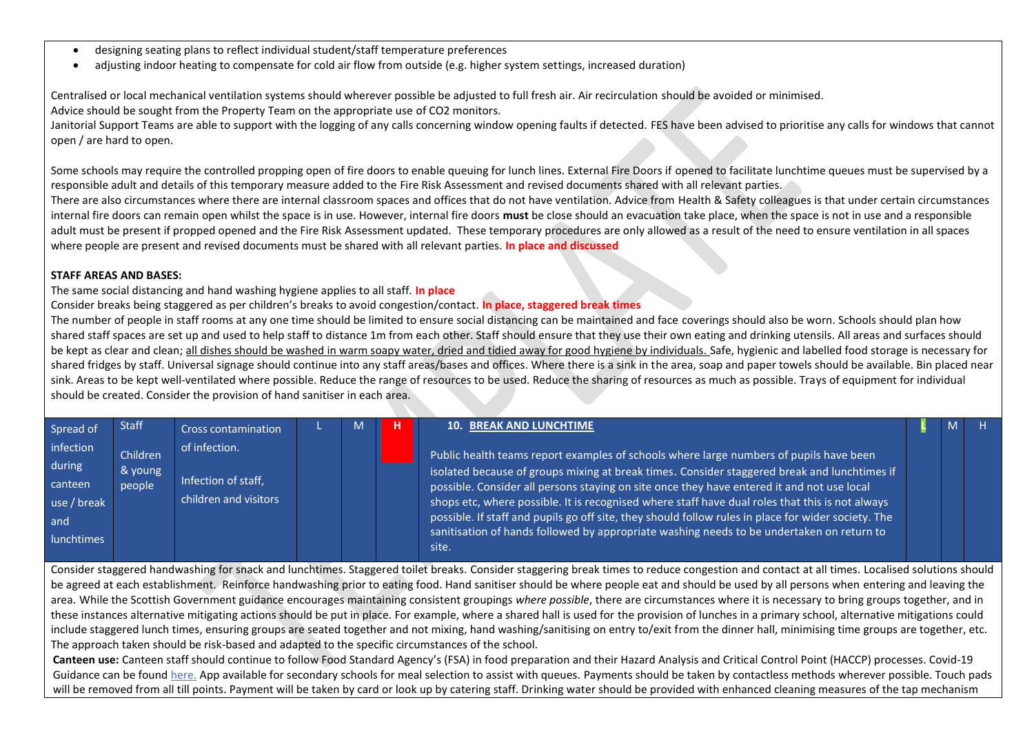- designing seating plans to reflect individual student/staff temperature preferences
- adjusting indoor heating to compensate for cold air flow from outside (e.g. higher system settings, increased duration)

Centralised or local mechanical ventilation systems should wherever possible be adjusted to full fresh air. Air recirculation should be avoided or minimised. Advice should be sought from the Property Team on the appropriate use of CO2 monitors.

Janitorial Support Teams are able to support with the logging of any calls concerning window opening faults if detected. FES have been advised to prioritise any calls for windows that cannot open / are hard to open.

Some schools may require the controlled propping open of fire doors to enable queuing for lunch lines. External Fire Doors if opened to facilitate lunchtime queues must be supervised by a responsible adult and details of this temporary measure added to the Fire Risk Assessment and revised documents shared with all relevant parties.

There are also circumstances where there are internal classroom spaces and offices that do not have ventilation. Advice from Health & Safety colleagues is that under certain circumstances internal fire doors can remain open whilst the space is in use. However, internal fire doors **must** be close should an evacuation take place, when the space is not in use and a responsible adult must be present if propped opened and the Fire Risk Assessment updated. These temporary procedures are only allowed as a result of the need to ensure ventilation in all spaces where people are present and revised documents must be shared with all relevant parties. **In place and discussed**

#### **STAFF AREAS AND BASES:**

The same social distancing and hand washing hygiene applies to all staff. **In place**

Consider breaks being staggered as per children's breaks to avoid congestion/contact. **In place, staggered break times**

The number of people in staff rooms at any one time should be limited to ensure social distancing can be maintained and face coverings should also be worn. Schools should plan how shared staff spaces are set up and used to help staff to distance 1m from each other. Staff should ensure that they use their own eating and drinking utensils. All areas and surfaces should be kept as clear and clean; all dishes should be washed in warm soapy water, dried and tidied away for good hygiene by individuals. Safe, hygienic and labelled food storage is necessary for shared fridges by staff. Universal signage should continue into any staff areas/bases and offices. Where there is a sink in the area, soap and paper towels should be available. Bin placed near sink. Areas to be kept well-ventilated where possible. Reduce the range of resources to be used. Reduce the sharing of resources as much as possible. Trays of equipment for individual should be created. Consider the provision of hand sanitiser in each area.

| Spread of                                                          | <b>Staff</b>                  | <b>Cross contamination</b>                                    | м | <b>10. BREAK AND LUNCHTIME</b>                                                                                                                                                                                                                                                                                                                                                                                                                                                                                                                                                                                  |  |  |
|--------------------------------------------------------------------|-------------------------------|---------------------------------------------------------------|---|-----------------------------------------------------------------------------------------------------------------------------------------------------------------------------------------------------------------------------------------------------------------------------------------------------------------------------------------------------------------------------------------------------------------------------------------------------------------------------------------------------------------------------------------------------------------------------------------------------------------|--|--|
| infection<br>during<br>canteen<br>use / break<br>and<br>lunchtimes | Children<br>& young<br>people | of infection.<br>Infection of staff,<br>children and visitors |   | Public health teams report examples of schools where large numbers of pupils have been<br>isolated because of groups mixing at break times. Consider staggered break and lunchtimes if<br>  possible. Consider all persons staying on site once they have entered it and not use local by<br>shops etc, where possible. It is recognised where staff have dual roles that this is not always<br>possible. If staff and pupils go off site, they should follow rules in place for wider society. The $^1$<br>sanitisation of hands followed by appropriate washing needs to be undertaken on return to<br>site.' |  |  |

Consider staggered handwashing for snack and lunchtimes. Staggered toilet breaks. Consider staggering break times to reduce congestion and contact at all times. Localised solutions should be agreed at each establishment. Reinforce handwashing prior to eating food. Hand sanitiser should be where people eat and should be used by all persons when entering and leaving the area. While the Scottish Government guidance encourages maintaining consistent groupings *where possible*, there are circumstances where it is necessary to bring groups together, and in these instances alternative mitigating actions should be put in place. For example, where a shared hall is used for the provision of lunches in a primary school, alternative mitigations could include staggered lunch times, ensuring groups are seated together and not mixing, hand washing/sanitising on entry to/exit from the dinner hall, minimising time groups are together, etc. The approach taken should be risk-based and adapted to the specific circumstances of the school.

**Canteen use:** Canteen staff should continue to follow Food Standard Agency's (FSA) in food preparation and their Hazard Analysis and Critical Control Point (HACCP) processes. Covid-19 Guidance can be found [here.](https://www.foodstandards.gov.scot/publications-and-research/publications/covid-19-guidance-for-food-business-operators-and-their-employees) App available for secondary schools for meal selection to assist with queues. Payments should be taken by contactless methods wherever possible. Touch pads will be removed from all till points. Payment will be taken by card or look up by catering staff. Drinking water should be provided with enhanced cleaning measures of the tap mechanism